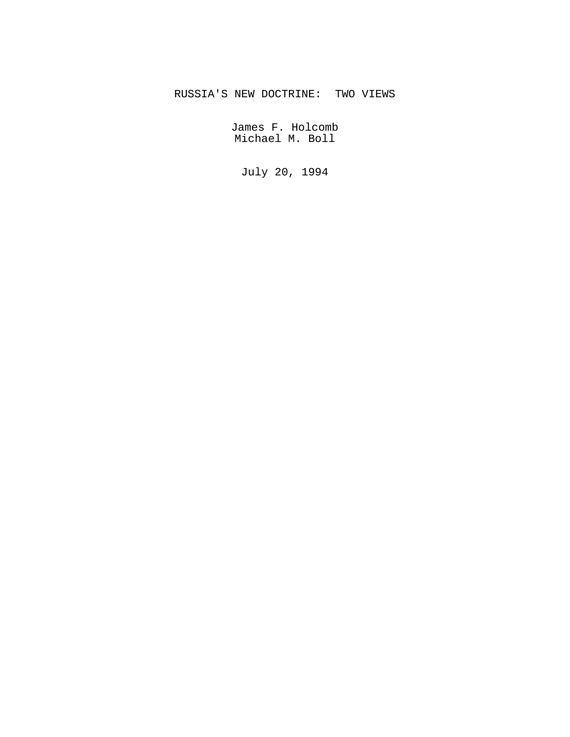# RUSSIA'S NEW DOCTRINE: TWO VIEWS

James F. Holcomb Michael M. Boll

July 20, 1994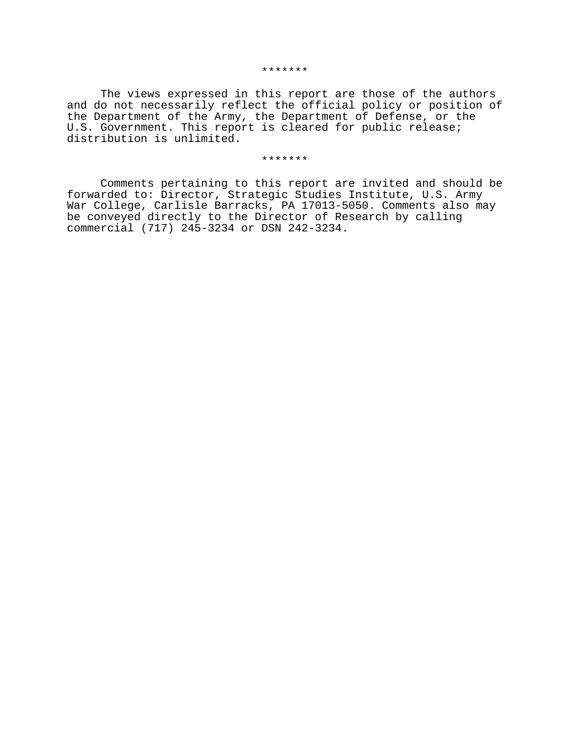The views expressed in this report are those of the authors and do not necessarily reflect the official policy or position of the Department of the Army, the Department of Defense, or the U.S. Government. This report is cleared for public release; distribution is unlimited.

#### \*\*\*\*\*\*\*

Comments pertaining to this report are invited and should be forwarded to: Director, Strategic Studies Institute, U.S. Army War College, Carlisle Barracks, PA 17013-5050. Comments also may be conveyed directly to the Director of Research by calling commercial (717) 245-3234 or DSN 242-3234.

#### \*\*\*\*\*\*\*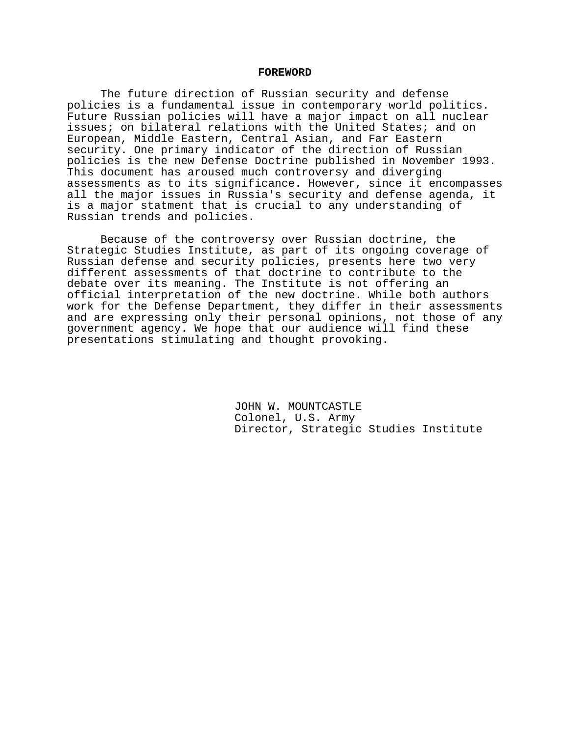#### **FOREWORD**

The future direction of Russian security and defense policies is a fundamental issue in contemporary world politics. Future Russian policies will have a major impact on all nuclear issues; on bilateral relations with the United States; and on European, Middle Eastern, Central Asian, and Far Eastern security. One primary indicator of the direction of Russian policies is the new Defense Doctrine published in November 1993. This document has aroused much controversy and diverging assessments as to its significance. However, since it encompasses all the major issues in Russia's security and defense agenda, it is a major statment that is crucial to any understanding of Russian trends and policies.

Because of the controversy over Russian doctrine, the Strategic Studies Institute, as part of its ongoing coverage of Russian defense and security policies, presents here two very different assessments of that doctrine to contribute to the debate over its meaning. The Institute is not offering an official interpretation of the new doctrine. While both authors work for the Defense Department, they differ in their assessments and are expressing only their personal opinions, not those of any government agency. We hope that our audience will find these presentations stimulating and thought provoking.

> JOHN W. MOUNTCASTLE Colonel, U.S. Army Director, Strategic Studies Institute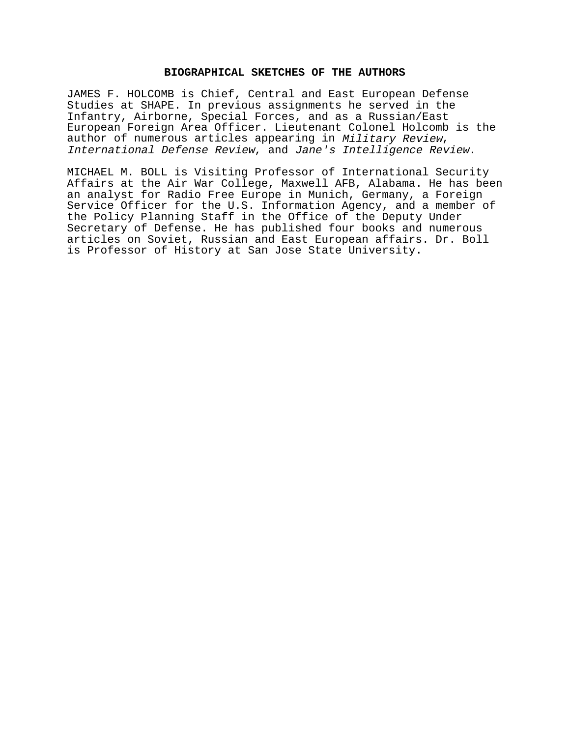# **BIOGRAPHICAL SKETCHES OF THE AUTHORS**

JAMES F. HOLCOMB is Chief, Central and East European Defense Studies at SHAPE. In previous assignments he served in the Infantry, Airborne, Special Forces, and as a Russian/East European Foreign Area Officer. Lieutenant Colonel Holcomb is the author of numerous articles appearing in Military Review, International Defense Review, and Jane's Intelligence Review.

MICHAEL M. BOLL is Visiting Professor of International Security Affairs at the Air War College, Maxwell AFB, Alabama. He has been an analyst for Radio Free Europe in Munich, Germany, a Foreign Service Officer for the U.S. Information Agency, and a member of the Policy Planning Staff in the Office of the Deputy Under Secretary of Defense. He has published four books and numerous articles on Soviet, Russian and East European affairs. Dr. Boll is Professor of History at San Jose State University.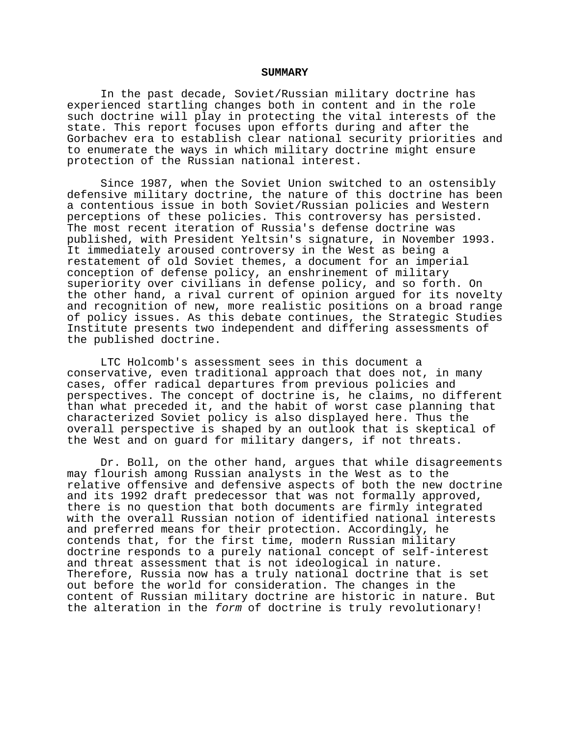#### **SUMMARY**

In the past decade, Soviet/Russian military doctrine has experienced startling changes both in content and in the role such doctrine will play in protecting the vital interests of the state. This report focuses upon efforts during and after the Gorbachev era to establish clear national security priorities and to enumerate the ways in which military doctrine might ensure protection of the Russian national interest.

Since 1987, when the Soviet Union switched to an ostensibly defensive military doctrine, the nature of this doctrine has been a contentious issue in both Soviet/Russian policies and Western perceptions of these policies. This controversy has persisted. The most recent iteration of Russia's defense doctrine was published, with President Yeltsin's signature, in November 1993. It immediately aroused controversy in the West as being a restatement of old Soviet themes, a document for an imperial conception of defense policy, an enshrinement of military superiority over civilians in defense policy, and so forth. On the other hand, a rival current of opinion argued for its novelty and recognition of new, more realistic positions on a broad range of policy issues. As this debate continues, the Strategic Studies Institute presents two independent and differing assessments of the published doctrine.

LTC Holcomb's assessment sees in this document a conservative, even traditional approach that does not, in many cases, offer radical departures from previous policies and perspectives. The concept of doctrine is, he claims, no different than what preceded it, and the habit of worst case planning that characterized Soviet policy is also displayed here. Thus the overall perspective is shaped by an outlook that is skeptical of the West and on guard for military dangers, if not threats.

Dr. Boll, on the other hand, argues that while disagreements may flourish among Russian analysts in the West as to the relative offensive and defensive aspects of both the new doctrine and its 1992 draft predecessor that was not formally approved, there is no question that both documents are firmly integrated with the overall Russian notion of identified national interests and preferred means for their protection. Accordingly, he contends that, for the first time, modern Russian military doctrine responds to a purely national concept of self-interest and threat assessment that is not ideological in nature. Therefore, Russia now has a truly national doctrine that is set out before the world for consideration. The changes in the content of Russian military doctrine are historic in nature. But the alteration in the form of doctrine is truly revolutionary!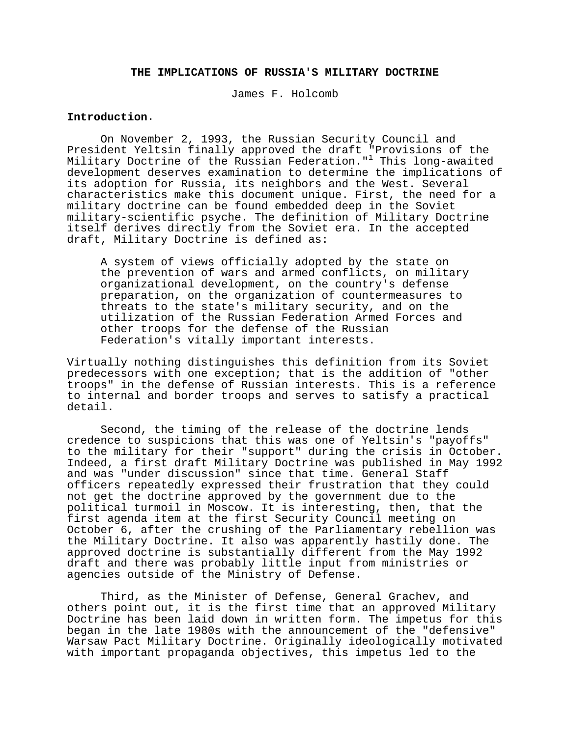# **THE IMPLICATIONS OF RUSSIA'S MILITARY DOCTRINE**

James F. Holcomb

# **Introduction**.

On November 2, 1993, the Russian Security Council and President Yeltsin finally approved the draft "Provisions of the Military Doctrine of the Russian Federation."<sup>1</sup> This long-awaited development deserves examination to determine the implications of its adoption for Russia, its neighbors and the West. Several characteristics make this document unique. First, the need for a military doctrine can be found embedded deep in the Soviet military-scientific psyche. The definition of Military Doctrine itself derives directly from the Soviet era. In the accepted draft, Military Doctrine is defined as:

A system of views officially adopted by the state on the prevention of wars and armed conflicts, on military organizational development, on the country's defense preparation, on the organization of countermeasures to threats to the state's military security, and on the utilization of the Russian Federation Armed Forces and other troops for the defense of the Russian Federation's vitally important interests.

Virtually nothing distinguishes this definition from its Soviet predecessors with one exception; that is the addition of "other troops" in the defense of Russian interests. This is a reference to internal and border troops and serves to satisfy a practical detail.

Second, the timing of the release of the doctrine lends credence to suspicions that this was one of Yeltsin's "payoffs" to the military for their "support" during the crisis in October. Indeed, a first draft Military Doctrine was published in May 1992 and was "under discussion" since that time. General Staff officers repeatedly expressed their frustration that they could not get the doctrine approved by the government due to the political turmoil in Moscow. It is interesting, then, that the first agenda item at the first Security Council meeting on October 6, after the crushing of the Parliamentary rebellion was the Military Doctrine. It also was apparently hastily done. The approved doctrine is substantially different from the May 1992 draft and there was probably little input from ministries or agencies outside of the Ministry of Defense.

Third, as the Minister of Defense, General Grachev, and others point out, it is the first time that an approved Military Doctrine has been laid down in written form. The impetus for this began in the late 1980s with the announcement of the "defensive" Warsaw Pact Military Doctrine. Originally ideologically motivated with important propaganda objectives, this impetus led to the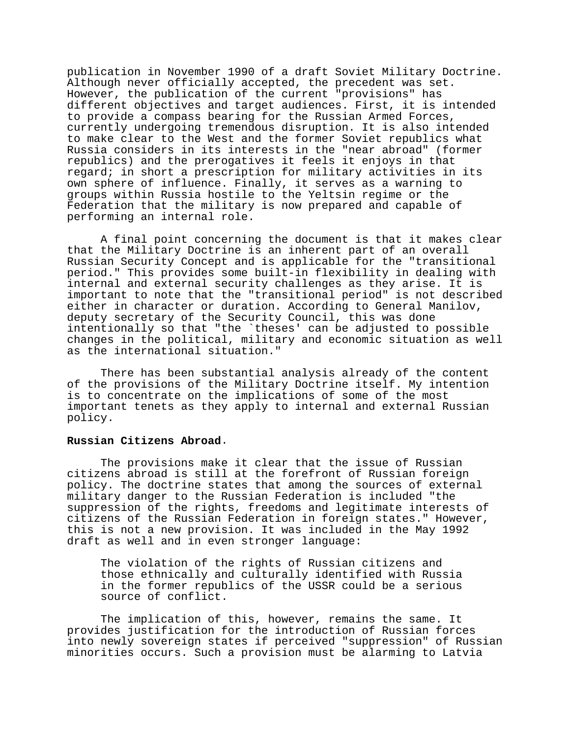publication in November 1990 of a draft Soviet Military Doctrine. Although never officially accepted, the precedent was set. However, the publication of the current "provisions" has different objectives and target audiences. First, it is intended to provide a compass bearing for the Russian Armed Forces, currently undergoing tremendous disruption. It is also intended to make clear to the West and the former Soviet republics what Russia considers in its interests in the "near abroad" (former republics) and the prerogatives it feels it enjoys in that regard; in short a prescription for military activities in its own sphere of influence. Finally, it serves as a warning to groups within Russia hostile to the Yeltsin regime or the Federation that the military is now prepared and capable of performing an internal role.

A final point concerning the document is that it makes clear that the Military Doctrine is an inherent part of an overall Russian Security Concept and is applicable for the "transitional period." This provides some built-in flexibility in dealing with internal and external security challenges as they arise. It is important to note that the "transitional period" is not described either in character or duration. According to General Manilov, deputy secretary of the Security Council, this was done intentionally so that "the `theses' can be adjusted to possible changes in the political, military and economic situation as well as the international situation."

There has been substantial analysis already of the content of the provisions of the Military Doctrine itself. My intention is to concentrate on the implications of some of the most important tenets as they apply to internal and external Russian policy.

# **Russian Citizens Abroad**.

The provisions make it clear that the issue of Russian citizens abroad is still at the forefront of Russian foreign policy. The doctrine states that among the sources of external military danger to the Russian Federation is included "the suppression of the rights, freedoms and legitimate interests of citizens of the Russian Federation in foreign states." However, this is not a new provision. It was included in the May 1992 draft as well and in even stronger language:

The violation of the rights of Russian citizens and those ethnically and culturally identified with Russia in the former republics of the USSR could be a serious source of conflict.

The implication of this, however, remains the same. It provides justification for the introduction of Russian forces into newly sovereign states if perceived "suppression" of Russian minorities occurs. Such a provision must be alarming to Latvia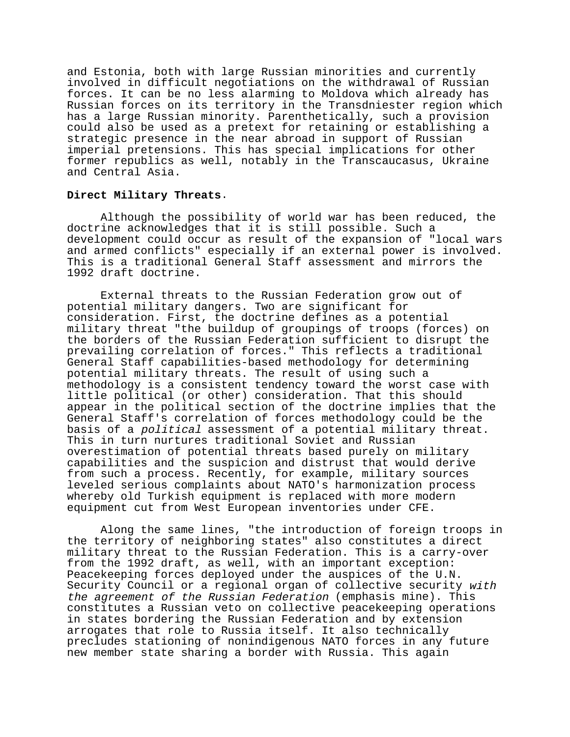and Estonia, both with large Russian minorities and currently involved in difficult negotiations on the withdrawal of Russian forces. It can be no less alarming to Moldova which already has Russian forces on its territory in the Transdniester region which has a large Russian minority. Parenthetically, such a provision could also be used as a pretext for retaining or establishing a strategic presence in the near abroad in support of Russian imperial pretensions. This has special implications for other former republics as well, notably in the Transcaucasus, Ukraine and Central Asia.

## **Direct Military Threats**.

Although the possibility of world war has been reduced, the doctrine acknowledges that it is still possible. Such a development could occur as result of the expansion of "local wars and armed conflicts" especially if an external power is involved. This is a traditional General Staff assessment and mirrors the 1992 draft doctrine.

External threats to the Russian Federation grow out of potential military dangers. Two are significant for consideration. First, the doctrine defines as a potential military threat "the buildup of groupings of troops (forces) on the borders of the Russian Federation sufficient to disrupt the prevailing correlation of forces." This reflects a traditional General Staff capabilities-based methodology for determining potential military threats. The result of using such a methodology is a consistent tendency toward the worst case with little political (or other) consideration. That this should appear in the political section of the doctrine implies that the General Staff's correlation of forces methodology could be the basis of a political assessment of a potential military threat. This in turn nurtures traditional Soviet and Russian overestimation of potential threats based purely on military capabilities and the suspicion and distrust that would derive from such a process. Recently, for example, military sources leveled serious complaints about NATO's harmonization process whereby old Turkish equipment is replaced with more modern equipment cut from West European inventories under CFE.

Along the same lines, "the introduction of foreign troops in the territory of neighboring states" also constitutes a direct military threat to the Russian Federation. This is a carry-over from the 1992 draft, as well, with an important exception: Peacekeeping forces deployed under the auspices of the U.N. Security Council or a regional organ of collective security with the agreement of the Russian Federation (emphasis mine). This constitutes a Russian veto on collective peacekeeping operations in states bordering the Russian Federation and by extension arrogates that role to Russia itself. It also technically precludes stationing of nonindigenous NATO forces in any future new member state sharing a border with Russia. This again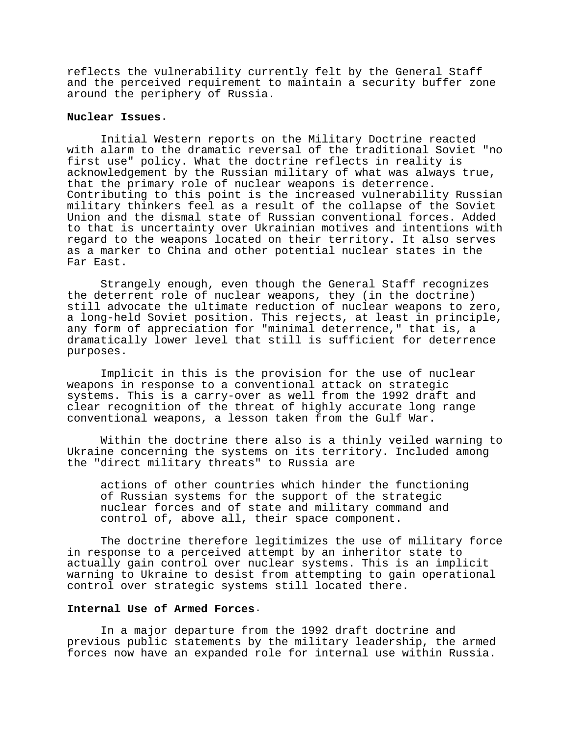reflects the vulnerability currently felt by the General Staff and the perceived requirement to maintain a security buffer zone around the periphery of Russia.

# **Nuclear Issues**.

Initial Western reports on the Military Doctrine reacted with alarm to the dramatic reversal of the traditional Soviet "no first use" policy. What the doctrine reflects in reality is acknowledgement by the Russian military of what was always true, that the primary role of nuclear weapons is deterrence. Contributing to this point is the increased vulnerability Russian military thinkers feel as a result of the collapse of the Soviet Union and the dismal state of Russian conventional forces. Added to that is uncertainty over Ukrainian motives and intentions with regard to the weapons located on their territory. It also serves as a marker to China and other potential nuclear states in the Far East.

Strangely enough, even though the General Staff recognizes the deterrent role of nuclear weapons, they (in the doctrine) still advocate the ultimate reduction of nuclear weapons to zero, a long-held Soviet position. This rejects, at least in principle, any form of appreciation for "minimal deterrence," that is, a dramatically lower level that still is sufficient for deterrence purposes.

Implicit in this is the provision for the use of nuclear weapons in response to a conventional attack on strategic systems. This is a carry-over as well from the 1992 draft and clear recognition of the threat of highly accurate long range conventional weapons, a lesson taken from the Gulf War.

Within the doctrine there also is a thinly veiled warning to Ukraine concerning the systems on its territory. Included among the "direct military threats" to Russia are

actions of other countries which hinder the functioning of Russian systems for the support of the strategic nuclear forces and of state and military command and control of, above all, their space component.

The doctrine therefore legitimizes the use of military force in response to a perceived attempt by an inheritor state to actually gain control over nuclear systems. This is an implicit warning to Ukraine to desist from attempting to gain operational control over strategic systems still located there.

# **Internal Use of Armed Forces**.

In a major departure from the 1992 draft doctrine and previous public statements by the military leadership, the armed forces now have an expanded role for internal use within Russia.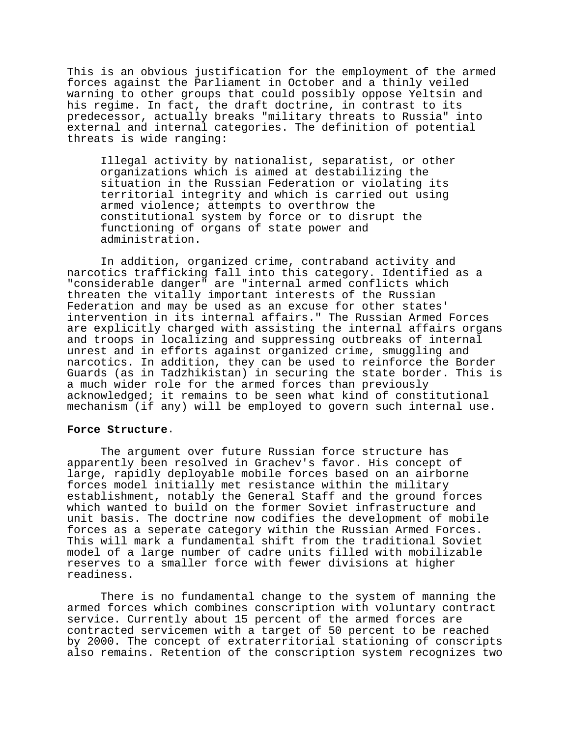This is an obvious justification for the employment of the armed forces against the Parliament in October and a thinly veiled warning to other groups that could possibly oppose Yeltsin and his regime. In fact, the draft doctrine, in contrast to its predecessor, actually breaks "military threats to Russia" into external and internal categories. The definition of potential threats is wide ranging:

Illegal activity by nationalist, separatist, or other organizations which is aimed at destabilizing the situation in the Russian Federation or violating its territorial integrity and which is carried out using armed violence; attempts to overthrow the constitutional system by force or to disrupt the functioning of organs of state power and administration.

In addition, organized crime, contraband activity and narcotics trafficking fall into this category. Identified as a "considerable danger" are "internal armed conflicts which threaten the vitally important interests of the Russian Federation and may be used as an excuse for other states' intervention in its internal affairs." The Russian Armed Forces are explicitly charged with assisting the internal affairs organs and troops in localizing and suppressing outbreaks of internal unrest and in efforts against organized crime, smuggling and narcotics. In addition, they can be used to reinforce the Border Guards (as in Tadzhikistan) in securing the state border. This is a much wider role for the armed forces than previously acknowledged; it remains to be seen what kind of constitutional mechanism (if any) will be employed to govern such internal use.

### **Force Structure**.

The argument over future Russian force structure has apparently been resolved in Grachev's favor. His concept of large, rapidly deployable mobile forces based on an airborne forces model initially met resistance within the military establishment, notably the General Staff and the ground forces which wanted to build on the former Soviet infrastructure and unit basis. The doctrine now codifies the development of mobile forces as a seperate category within the Russian Armed Forces. This will mark a fundamental shift from the traditional Soviet model of a large number of cadre units filled with mobilizable reserves to a smaller force with fewer divisions at higher readiness.

There is no fundamental change to the system of manning the armed forces which combines conscription with voluntary contract service. Currently about 15 percent of the armed forces are contracted servicemen with a target of 50 percent to be reached by 2000. The concept of extraterritorial stationing of conscripts also remains. Retention of the conscription system recognizes two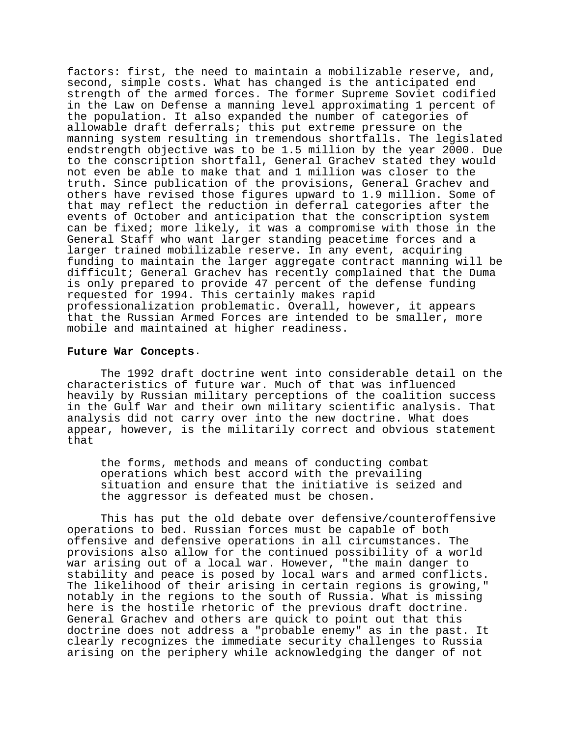factors: first, the need to maintain a mobilizable reserve, and, second, simple costs. What has changed is the anticipated end strength of the armed forces. The former Supreme Soviet codified in the Law on Defense a manning level approximating 1 percent of the population. It also expanded the number of categories of allowable draft deferrals; this put extreme pressure on the manning system resulting in tremendous shortfalls. The legislated endstrength objective was to be 1.5 million by the year 2000. Due to the conscription shortfall, General Grachev stated they would not even be able to make that and 1 million was closer to the truth. Since publication of the provisions, General Grachev and others have revised those figures upward to 1.9 million. Some of that may reflect the reduction in deferral categories after the events of October and anticipation that the conscription system can be fixed; more likely, it was a compromise with those in the General Staff who want larger standing peacetime forces and a larger trained mobilizable reserve. In any event, acquiring funding to maintain the larger aggregate contract manning will be difficult; General Grachev has recently complained that the Duma is only prepared to provide 47 percent of the defense funding requested for 1994. This certainly makes rapid professionalization problematic. Overall, however, it appears that the Russian Armed Forces are intended to be smaller, more mobile and maintained at higher readiness.

### **Future War Concepts**.

The 1992 draft doctrine went into considerable detail on the characteristics of future war. Much of that was influenced heavily by Russian military perceptions of the coalition success in the Gulf War and their own military scientific analysis. That analysis did not carry over into the new doctrine. What does appear, however, is the militarily correct and obvious statement that

the forms, methods and means of conducting combat operations which best accord with the prevailing situation and ensure that the initiative is seized and the aggressor is defeated must be chosen.

This has put the old debate over defensive/counteroffensive operations to bed. Russian forces must be capable of both offensive and defensive operations in all circumstances. The provisions also allow for the continued possibility of a world war arising out of a local war. However, "the main danger to stability and peace is posed by local wars and armed conflicts. The likelihood of their arising in certain regions is growing," notably in the regions to the south of Russia. What is missing here is the hostile rhetoric of the previous draft doctrine. General Grachev and others are quick to point out that this doctrine does not address a "probable enemy" as in the past. It clearly recognizes the immediate security challenges to Russia arising on the periphery while acknowledging the danger of not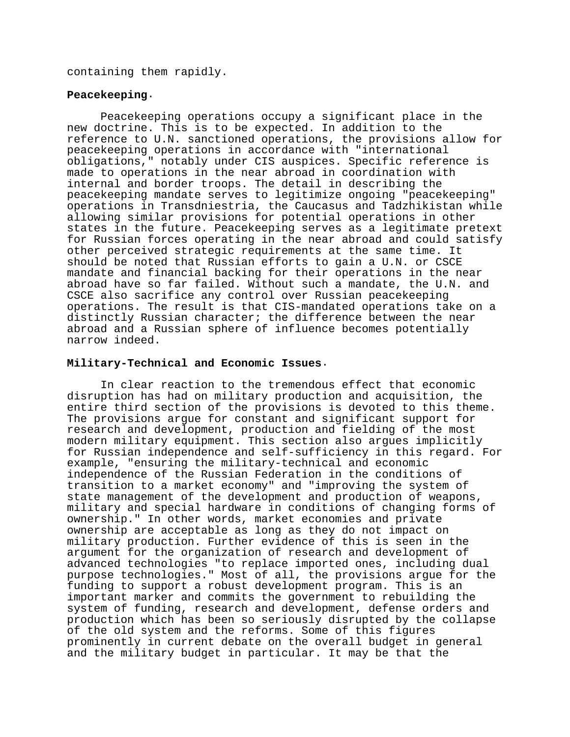containing them rapidly.

# **Peacekeeping**.

Peacekeeping operations occupy a significant place in the new doctrine. This is to be expected. In addition to the reference to U.N. sanctioned operations, the provisions allow for peacekeeping operations in accordance with "international obligations," notably under CIS auspices. Specific reference is made to operations in the near abroad in coordination with internal and border troops. The detail in describing the peacekeeping mandate serves to legitimize ongoing "peacekeeping" operations in Transdniestria, the Caucasus and Tadzhikistan while allowing similar provisions for potential operations in other states in the future. Peacekeeping serves as a legitimate pretext for Russian forces operating in the near abroad and could satisfy other perceived strategic requirements at the same time. It should be noted that Russian efforts to gain a U.N. or CSCE mandate and financial backing for their operations in the near abroad have so far failed. Without such a mandate, the U.N. and CSCE also sacrifice any control over Russian peacekeeping operations. The result is that CIS-mandated operations take on a distinctly Russian character; the difference between the near abroad and a Russian sphere of influence becomes potentially narrow indeed.

# **Military-Technical and Economic Issues**.

In clear reaction to the tremendous effect that economic disruption has had on military production and acquisition, the entire third section of the provisions is devoted to this theme. The provisions argue for constant and significant support for research and development, production and fielding of the most modern military equipment. This section also argues implicitly for Russian independence and self-sufficiency in this regard. For example, "ensuring the military-technical and economic independence of the Russian Federation in the conditions of transition to a market economy" and "improving the system of state management of the development and production of weapons, military and special hardware in conditions of changing forms of ownership." In other words, market economies and private ownership are acceptable as long as they do not impact on military production. Further evidence of this is seen in the argument for the organization of research and development of advanced technologies "to replace imported ones, including dual purpose technologies." Most of all, the provisions argue for the funding to support a robust development program. This is an important marker and commits the government to rebuilding the system of funding, research and development, defense orders and production which has been so seriously disrupted by the collapse of the old system and the reforms. Some of this figures prominently in current debate on the overall budget in general and the military budget in particular. It may be that the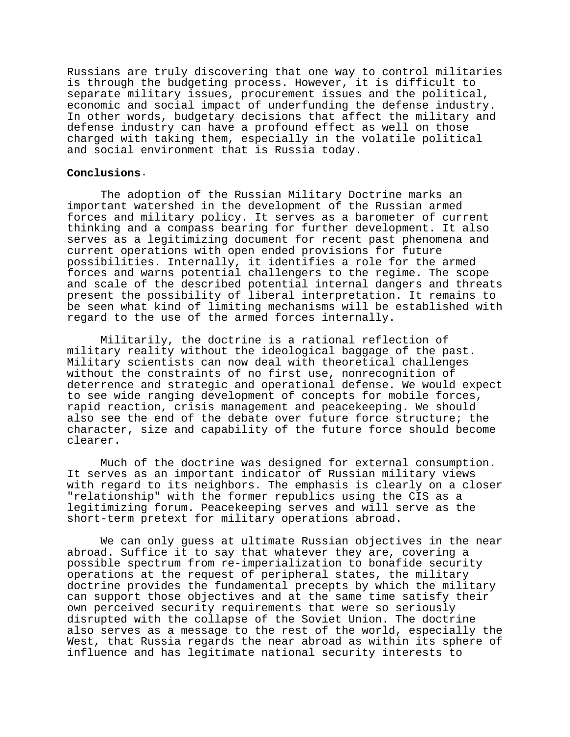Russians are truly discovering that one way to control militaries is through the budgeting process. However, it is difficult to separate military issues, procurement issues and the political, economic and social impact of underfunding the defense industry. In other words, budgetary decisions that affect the military and defense industry can have a profound effect as well on those charged with taking them, especially in the volatile political and social environment that is Russia today.

### **Conclusions**.

The adoption of the Russian Military Doctrine marks an important watershed in the development of the Russian armed forces and military policy. It serves as a barometer of current thinking and a compass bearing for further development. It also serves as a legitimizing document for recent past phenomena and current operations with open ended provisions for future possibilities. Internally, it identifies a role for the armed forces and warns potential challengers to the regime. The scope and scale of the described potential internal dangers and threats present the possibility of liberal interpretation. It remains to be seen what kind of limiting mechanisms will be established with regard to the use of the armed forces internally.

Militarily, the doctrine is a rational reflection of military reality without the ideological baggage of the past. Military scientists can now deal with theoretical challenges without the constraints of no first use, nonrecognition of deterrence and strategic and operational defense. We would expect to see wide ranging development of concepts for mobile forces, rapid reaction, crisis management and peacekeeping. We should also see the end of the debate over future force structure; the character, size and capability of the future force should become clearer.

Much of the doctrine was designed for external consumption. It serves as an important indicator of Russian military views with regard to its neighbors. The emphasis is clearly on a closer "relationship" with the former republics using the CIS as a legitimizing forum. Peacekeeping serves and will serve as the short-term pretext for military operations abroad.

We can only guess at ultimate Russian objectives in the near abroad. Suffice it to say that whatever they are, covering a possible spectrum from re-imperialization to bonafide security operations at the request of peripheral states, the military doctrine provides the fundamental precepts by which the military can support those objectives and at the same time satisfy their own perceived security requirements that were so seriously disrupted with the collapse of the Soviet Union. The doctrine also serves as a message to the rest of the world, especially the West, that Russia regards the near abroad as within its sphere of influence and has legitimate national security interests to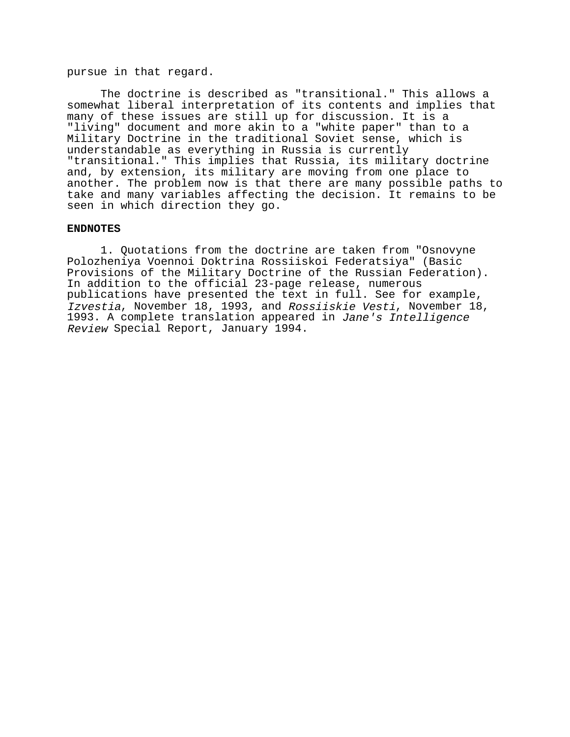pursue in that regard.

The doctrine is described as "transitional." This allows a somewhat liberal interpretation of its contents and implies that many of these issues are still up for discussion. It is a "living" document and more akin to a "white paper" than to a Military Doctrine in the traditional Soviet sense, which is understandable as everything in Russia is currently "transitional." This implies that Russia, its military doctrine and, by extension, its military are moving from one place to another. The problem now is that there are many possible paths to take and many variables affecting the decision. It remains to be seen in which direction they go.

### **ENDNOTES**

1. Quotations from the doctrine are taken from "Osnovyne Polozheniya Voennoi Doktrina Rossiiskoi Federatsiya" (Basic Provisions of the Military Doctrine of the Russian Federation). In addition to the official 23-page release, numerous publications have presented the text in full. See for example, Izvestia, November 18, 1993, and Rossiiskie Vesti, November 18, 1993. A complete translation appeared in Jane's Intelligence Review Special Report, January 1994.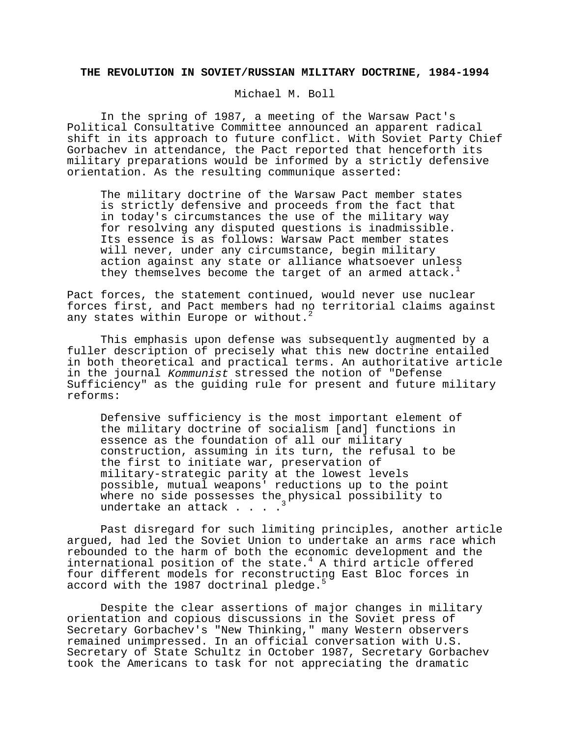#### **THE REVOLUTION IN SOVIET/RUSSIAN MILITARY DOCTRINE, 1984-1994**

Michael M. Boll

In the spring of 1987, a meeting of the Warsaw Pact's Political Consultative Committee announced an apparent radical shift in its approach to future conflict. With Soviet Party Chief Gorbachev in attendance, the Pact reported that henceforth its military preparations would be informed by a strictly defensive orientation. As the resulting communique asserted:

The military doctrine of the Warsaw Pact member states is strictly defensive and proceeds from the fact that in today's circumstances the use of the military way for resolving any disputed questions is inadmissible. Its essence is as follows: Warsaw Pact member states will never, under any circumstance, begin military action against any state or alliance whatsoever unless they themselves become the target of an armed attack.<sup>1</sup>

Pact forces, the statement continued, would never use nuclear forces first, and Pact members had no territorial claims against any states within Europe or without.<sup>2</sup>

This emphasis upon defense was subsequently augmented by a fuller description of precisely what this new doctrine entailed in both theoretical and practical terms. An authoritative article in the journal Kommunist stressed the notion of "Defense Sufficiency" as the guiding rule for present and future military reforms:

Defensive sufficiency is the most important element of the military doctrine of socialism [and] functions in essence as the foundation of all our military construction, assuming in its turn, the refusal to be the first to initiate war, preservation of military-strategic parity at the lowest levels possible, mutual weapons' reductions up to the point where no side possesses the physical possibility to undertake an attack . . . .

Past disregard for such limiting principles, another article argued, had led the Soviet Union to undertake an arms race which rebounded to the harm of both the economic development and the international position of the state. $4$  A third article offered four different models for reconstructing East Bloc forces in accord with the 1987 doctrinal pledge.<sup>5</sup>

Despite the clear assertions of major changes in military orientation and copious discussions in the Soviet press of Secretary Gorbachev's "New Thinking," many Western observers remained unimpressed. In an official conversation with U.S. Secretary of State Schultz in October 1987, Secretary Gorbachev took the Americans to task for not appreciating the dramatic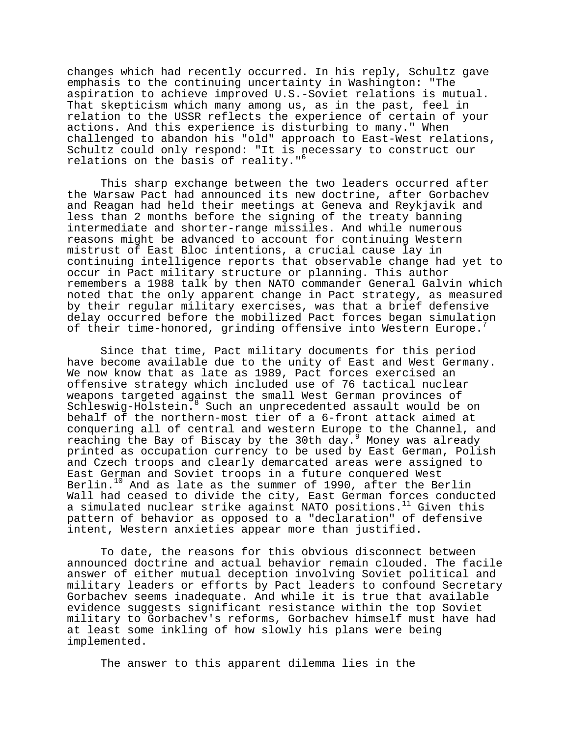changes which had recently occurred. In his reply, Schultz gave emphasis to the continuing uncertainty in Washington: "The aspiration to achieve improved U.S.-Soviet relations is mutual. That skepticism which many among us, as in the past, feel in relation to the USSR reflects the experience of certain of your actions. And this experience is disturbing to many." When challenged to abandon his "old" approach to East-West relations, Schultz could only respond: "It is necessary to construct our relations on the basis of reality."<sup>6</sup>

This sharp exchange between the two leaders occurred after the Warsaw Pact had announced its new doctrine, after Gorbachev and Reagan had held their meetings at Geneva and Reykjavik and less than 2 months before the signing of the treaty banning intermediate and shorter-range missiles. And while numerous reasons might be advanced to account for continuing Western mistrust of East Bloc intentions, a crucial cause lay in continuing intelligence reports that observable change had yet to occur in Pact military structure or planning. This author remembers a 1988 talk by then NATO commander General Galvin which noted that the only apparent change in Pact strategy, as measured by their regular military exercises, was that a brief defensive delay occurred before the mobilized Pact forces began simulation of their time-honored, grinding offensive into Western Europe.

Since that time, Pact military documents for this period have become available due to the unity of East and West Germany. We now know that as late as 1989, Pact forces exercised an offensive strategy which included use of 76 tactical nuclear weapons targeted against the small West German provinces of Schleswig-Holstein.8 Such an unprecedented assault would be on behalf of the northern-most tier of a 6-front attack aimed at conquering all of central and western Europe to the Channel, and reaching the Bay of Biscay by the 30th day.<sup>9</sup> Money was already printed as occupation currency to be used by East German, Polish and Czech troops and clearly demarcated areas were assigned to East German and Soviet troops in a future conquered West Berlin.<sup>10</sup> And as late as the summer of 1990, after the Berlin Wall had ceased to divide the city, East German forces conducted a simulated nuclear strike against NATO positions.<sup>11</sup> Given this pattern of behavior as opposed to a "declaration" of defensive intent, Western anxieties appear more than justified.

To date, the reasons for this obvious disconnect between announced doctrine and actual behavior remain clouded. The facile answer of either mutual deception involving Soviet political and military leaders or efforts by Pact leaders to confound Secretary Gorbachev seems inadequate. And while it is true that available evidence suggests significant resistance within the top Soviet military to Gorbachev's reforms, Gorbachev himself must have had at least some inkling of how slowly his plans were being implemented.

The answer to this apparent dilemma lies in the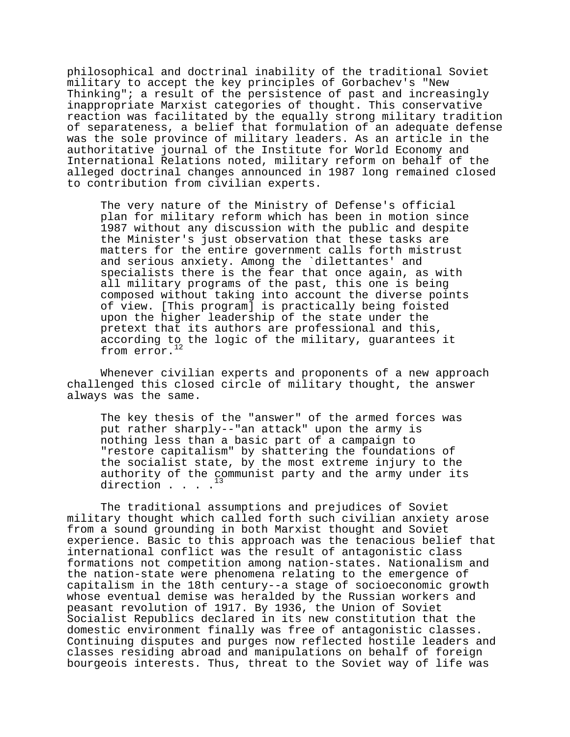philosophical and doctrinal inability of the traditional Soviet military to accept the key principles of Gorbachev's "New Thinking"; a result of the persistence of past and increasingly inappropriate Marxist categories of thought. This conservative reaction was facilitated by the equally strong military tradition of separateness, a belief that formulation of an adequate defense was the sole province of military leaders. As an article in the authoritative journal of the Institute for World Economy and International Relations noted, military reform on behalf of the alleged doctrinal changes announced in 1987 long remained closed to contribution from civilian experts.

The very nature of the Ministry of Defense's official plan for military reform which has been in motion since 1987 without any discussion with the public and despite the Minister's just observation that these tasks are matters for the entire government calls forth mistrust and serious anxiety. Among the `dilettantes' and specialists there is the fear that once again, as with all military programs of the past, this one is being composed without taking into account the diverse points of view. [This program] is practically being foisted upon the higher leadership of the state under the pretext that its authors are professional and this, according to the logic of the military, guarantees it from error.<sup>12</sup>

Whenever civilian experts and proponents of a new approach challenged this closed circle of military thought, the answer always was the same.

The key thesis of the "answer" of the armed forces was put rather sharply--"an attack" upon the army is nothing less than a basic part of a campaign to "restore capitalism" by shattering the foundations of the socialist state, by the most extreme injury to the authority of the communist party and the army under its direction . . . .

The traditional assumptions and prejudices of Soviet military thought which called forth such civilian anxiety arose from a sound grounding in both Marxist thought and Soviet experience. Basic to this approach was the tenacious belief that international conflict was the result of antagonistic class formations not competition among nation-states. Nationalism and the nation-state were phenomena relating to the emergence of capitalism in the 18th century--a stage of socioeconomic growth whose eventual demise was heralded by the Russian workers and peasant revolution of 1917. By 1936, the Union of Soviet Socialist Republics declared in its new constitution that the domestic environment finally was free of antagonistic classes. Continuing disputes and purges now reflected hostile leaders and classes residing abroad and manipulations on behalf of foreign bourgeois interests. Thus, threat to the Soviet way of life was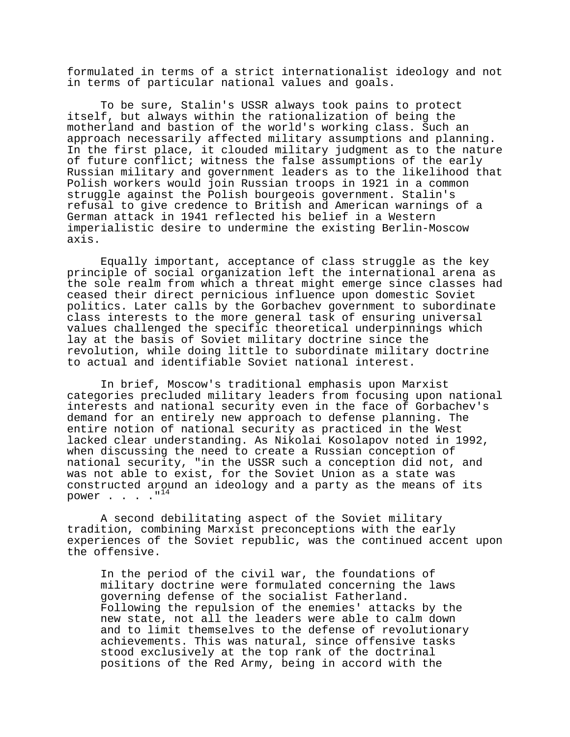formulated in terms of a strict internationalist ideology and not in terms of particular national values and goals.

To be sure, Stalin's USSR always took pains to protect itself, but always within the rationalization of being the motherland and bastion of the world's working class. Such an approach necessarily affected military assumptions and planning. In the first place, it clouded military judgment as to the nature of future conflict; witness the false assumptions of the early Russian military and government leaders as to the likelihood that Polish workers would join Russian troops in 1921 in a common struggle against the Polish bourgeois government. Stalin's refusal to give credence to British and American warnings of a German attack in 1941 reflected his belief in a Western imperialistic desire to undermine the existing Berlin-Moscow axis.

Equally important, acceptance of class struggle as the key principle of social organization left the international arena as the sole realm from which a threat might emerge since classes had ceased their direct pernicious influence upon domestic Soviet politics. Later calls by the Gorbachev government to subordinate class interests to the more general task of ensuring universal values challenged the specific theoretical underpinnings which lay at the basis of Soviet military doctrine since the revolution, while doing little to subordinate military doctrine to actual and identifiable Soviet national interest.

In brief, Moscow's traditional emphasis upon Marxist categories precluded military leaders from focusing upon national interests and national security even in the face of Gorbachev's demand for an entirely new approach to defense planning. The entire notion of national security as practiced in the West lacked clear understanding. As Nikolai Kosolapov noted in 1992, when discussing the need to create a Russian conception of national security, "in the USSR such a conception did not, and was not able to exist, for the Soviet Union as a state was constructed around an ideology and a party as the means of its power  $\cdots$   $\cdots$   $\mathbb{I}^{14}$ 

A second debilitating aspect of the Soviet military tradition, combining Marxist preconceptions with the early experiences of the Soviet republic, was the continued accent upon the offensive.

In the period of the civil war, the foundations of military doctrine were formulated concerning the laws governing defense of the socialist Fatherland. Following the repulsion of the enemies' attacks by the new state, not all the leaders were able to calm down and to limit themselves to the defense of revolutionary achievements. This was natural, since offensive tasks stood exclusively at the top rank of the doctrinal positions of the Red Army, being in accord with the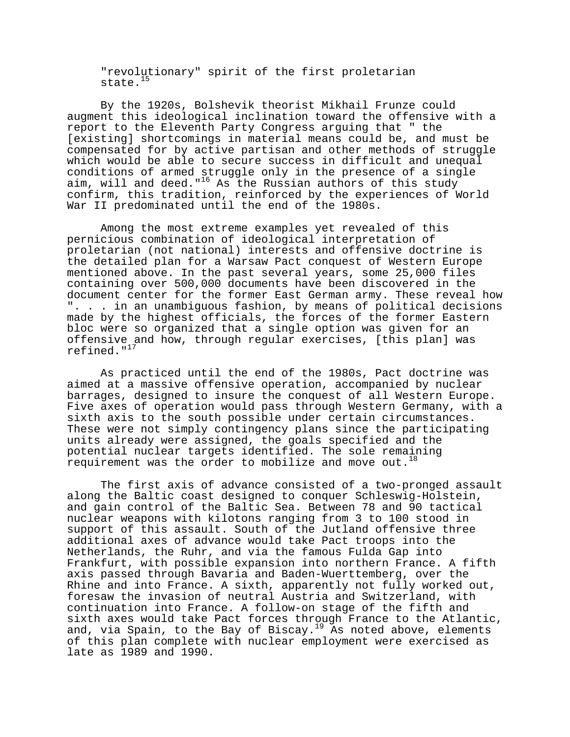"revolutionary" spirit of the first proletarian state. $15$ 

By the 1920s, Bolshevik theorist Mikhail Frunze could augment this ideological inclination toward the offensive with a report to the Eleventh Party Congress arguing that " the [existing] shortcomings in material means could be, and must be compensated for by active partisan and other methods of struggle which would be able to secure success in difficult and unequal conditions of armed struggle only in the presence of a single aim, will and deed." $^{16}$  As the Russian authors of this study confirm, this tradition, reinforced by the experiences of World War II predominated until the end of the 1980s.

Among the most extreme examples yet revealed of this pernicious combination of ideological interpretation of proletarian (not national) interests and offensive doctrine is the detailed plan for a Warsaw Pact conquest of Western Europe mentioned above. In the past several years, some 25,000 files containing over 500,000 documents have been discovered in the document center for the former East German army. These reveal how ". . . in an unambiguous fashion, by means of political decisions made by the highest officials, the forces of the former Eastern bloc were so organized that a single option was given for an offensive and how, through regular exercises, [this plan] was refined." $17$ 

As practiced until the end of the 1980s, Pact doctrine was aimed at a massive offensive operation, accompanied by nuclear barrages, designed to insure the conquest of all Western Europe. Five axes of operation would pass through Western Germany, with a sixth axis to the south possible under certain circumstances. These were not simply contingency plans since the participating units already were assigned, the goals specified and the potential nuclear targets identified. The sole remaining requirement was the order to mobilize and move out.<sup>18</sup>

The first axis of advance consisted of a two-pronged assault along the Baltic coast designed to conquer Schleswig-Holstein, and gain control of the Baltic Sea. Between 78 and 90 tactical nuclear weapons with kilotons ranging from 3 to 100 stood in support of this assault. South of the Jutland offensive three additional axes of advance would take Pact troops into the Netherlands, the Ruhr, and via the famous Fulda Gap into Frankfurt, with possible expansion into northern France. A fifth axis passed through Bavaria and Baden-Wuerttemberg, over the Rhine and into France. A sixth, apparently not fully worked out, foresaw the invasion of neutral Austria and Switzerland, with continuation into France. A follow-on stage of the fifth and sixth axes would take Pact forces through France to the Atlantic, and, via Spain, to the Bay of Biscay.<sup>19</sup> As noted above, elements of this plan complete with nuclear employment were exercised as late as 1989 and 1990.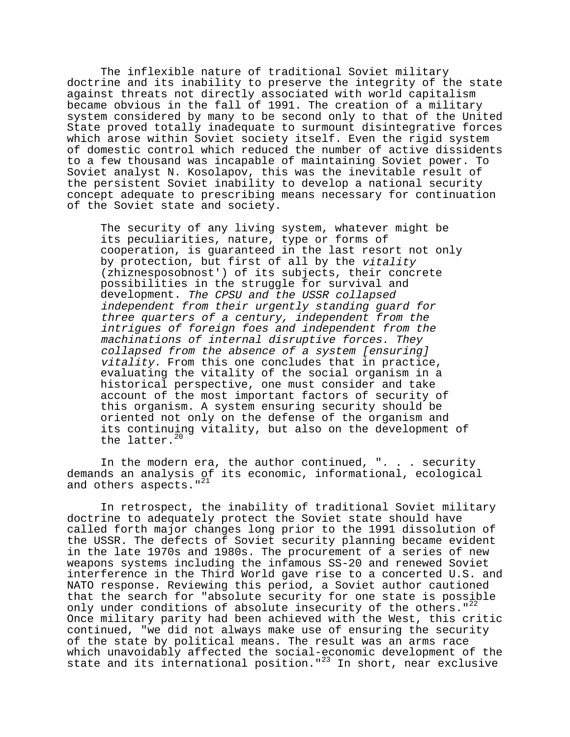The inflexible nature of traditional Soviet military doctrine and its inability to preserve the integrity of the state against threats not directly associated with world capitalism became obvious in the fall of 1991. The creation of a military system considered by many to be second only to that of the United State proved totally inadequate to surmount disintegrative forces which arose within Soviet society itself. Even the rigid system of domestic control which reduced the number of active dissidents to a few thousand was incapable of maintaining Soviet power. To Soviet analyst N. Kosolapov, this was the inevitable result of the persistent Soviet inability to develop a national security concept adequate to prescribing means necessary for continuation of the Soviet state and society.

The security of any living system, whatever might be its peculiarities, nature, type or forms of cooperation, is guaranteed in the last resort not only by protection, but first of all by the vitality (zhiznesposobnost') of its subjects, their concrete possibilities in the struggle for survival and development. The CPSU and the USSR collapsed independent from their urgently standing guard for three quarters of a century, independent from the intrigues of foreign foes and independent from the machinations of internal disruptive forces. They collapsed from the absence of a system [ensuring] vitality. From this one concludes that in practice, evaluating the vitality of the social organism in a historical perspective, one must consider and take account of the most important factors of security of this organism. A system ensuring security should be oriented not only on the defense of the organism and its continuing vitality, but also on the development of the latter.<sup>20</sup>

In the modern era, the author continued, ". . . security demands an analysis of its economic, informational, ecological and others aspects."<sup>21</sup>

In retrospect, the inability of traditional Soviet military doctrine to adequately protect the Soviet state should have called forth major changes long prior to the 1991 dissolution of the USSR. The defects of Soviet security planning became evident in the late 1970s and 1980s. The procurement of a series of new weapons systems including the infamous SS-20 and renewed Soviet interference in the Third World gave rise to a concerted U.S. and NATO response. Reviewing this period, a Soviet author cautioned that the search for "absolute security for one state is possible only under conditions of absolute insecurity of the others." $2^2$ Once military parity had been achieved with the West, this critic continued, "we did not always make use of ensuring the security of the state by political means. The result was an arms race which unavoidably affected the social-economic development of the state and its international position."23 In short, near exclusive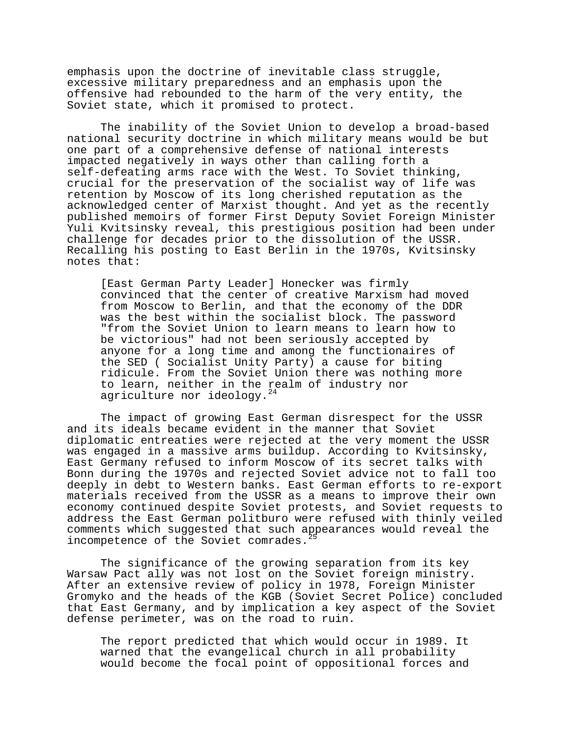emphasis upon the doctrine of inevitable class struggle, excessive military preparedness and an emphasis upon the offensive had rebounded to the harm of the very entity, the Soviet state, which it promised to protect.

The inability of the Soviet Union to develop a broad-based national security doctrine in which military means would be but one part of a comprehensive defense of national interests impacted negatively in ways other than calling forth a self-defeating arms race with the West. To Soviet thinking, crucial for the preservation of the socialist way of life was retention by Moscow of its long cherished reputation as the acknowledged center of Marxist thought. And yet as the recently published memoirs of former First Deputy Soviet Foreign Minister Yuli Kvitsinsky reveal, this prestigious position had been under challenge for decades prior to the dissolution of the USSR. Recalling his posting to East Berlin in the 1970s, Kvitsinsky notes that:

[East German Party Leader] Honecker was firmly convinced that the center of creative Marxism had moved from Moscow to Berlin, and that the economy of the DDR was the best within the socialist block. The password "from the Soviet Union to learn means to learn how to be victorious" had not been seriously accepted by anyone for a long time and among the functionaires of the SED ( Socialist Unity Party) a cause for biting ridicule. From the Soviet Union there was nothing more to learn, neither in the realm of industry nor agriculture nor ideology.<sup>24</sup>

The impact of growing East German disrespect for the USSR and its ideals became evident in the manner that Soviet diplomatic entreaties were rejected at the very moment the USSR was engaged in a massive arms buildup. According to Kvitsinsky, East Germany refused to inform Moscow of its secret talks with Bonn during the 1970s and rejected Soviet advice not to fall too deeply in debt to Western banks. East German efforts to re-export materials received from the USSR as a means to improve their own economy continued despite Soviet protests, and Soviet requests to address the East German politburo were refused with thinly veiled comments which suggested that such appearances would reveal the incompetence of the Soviet comrades.

The significance of the growing separation from its key Warsaw Pact ally was not lost on the Soviet foreign ministry. After an extensive review of policy in 1978, Foreign Minister Gromyko and the heads of the KGB (Soviet Secret Police) concluded that East Germany, and by implication a key aspect of the Soviet defense perimeter, was on the road to ruin.

The report predicted that which would occur in 1989. It warned that the evangelical church in all probability would become the focal point of oppositional forces and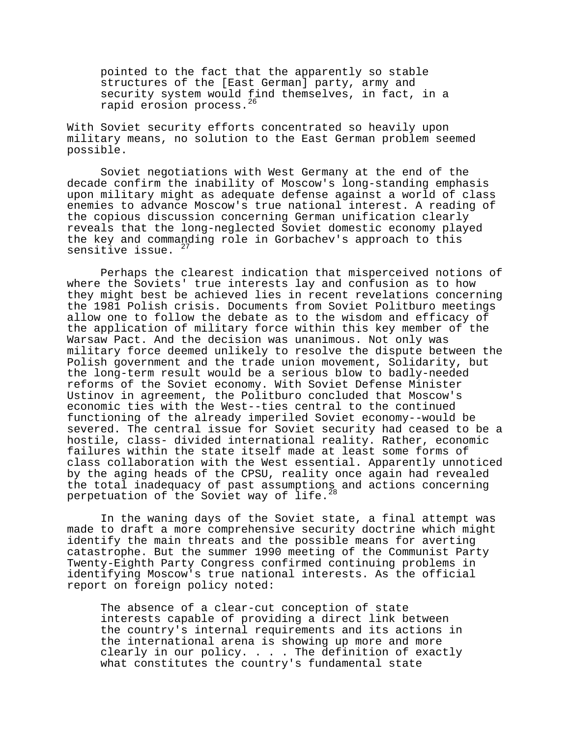pointed to the fact that the apparently so stable structures of the [East German] party, army and security system would find themselves, in fact, in a rapid erosion process.<sup>26</sup>

With Soviet security efforts concentrated so heavily upon military means, no solution to the East German problem seemed possible.

Soviet negotiations with West Germany at the end of the decade confirm the inability of Moscow's long-standing emphasis upon military might as adequate defense against a world of class enemies to advance Moscow's true national interest. A reading of the copious discussion concerning German unification clearly reveals that the long-neglected Soviet domestic economy played the key and commanding role in Gorbachev's approach to this sensitive issue.  $27$ 

Perhaps the clearest indication that misperceived notions of where the Soviets' true interests lay and confusion as to how they might best be achieved lies in recent revelations concerning the 1981 Polish crisis. Documents from Soviet Politburo meetings allow one to follow the debate as to the wisdom and efficacy of the application of military force within this key member of the Warsaw Pact. And the decision was unanimous. Not only was military force deemed unlikely to resolve the dispute between the Polish government and the trade union movement, Solidarity, but the long-term result would be a serious blow to badly-needed reforms of the Soviet economy. With Soviet Defense Minister Ustinov in agreement, the Politburo concluded that Moscow's economic ties with the West--ties central to the continued functioning of the already imperiled Soviet economy--would be severed. The central issue for Soviet security had ceased to be a hostile, class- divided international reality. Rather, economic failures within the state itself made at least some forms of class collaboration with the West essential. Apparently unnoticed by the aging heads of the CPSU, reality once again had revealed the total inadequacy of past assumptions and actions concerning perpetuation of the Soviet way of life.<sup>28</sup>

In the waning days of the Soviet state, a final attempt was made to draft a more comprehensive security doctrine which might identify the main threats and the possible means for averting catastrophe. But the summer 1990 meeting of the Communist Party Twenty-Eighth Party Congress confirmed continuing problems in identifying Moscow's true national interests. As the official report on foreign policy noted:

The absence of a clear-cut conception of state interests capable of providing a direct link between the country's internal requirements and its actions in the international arena is showing up more and more clearly in our policy. . . . The definition of exactly what constitutes the country's fundamental state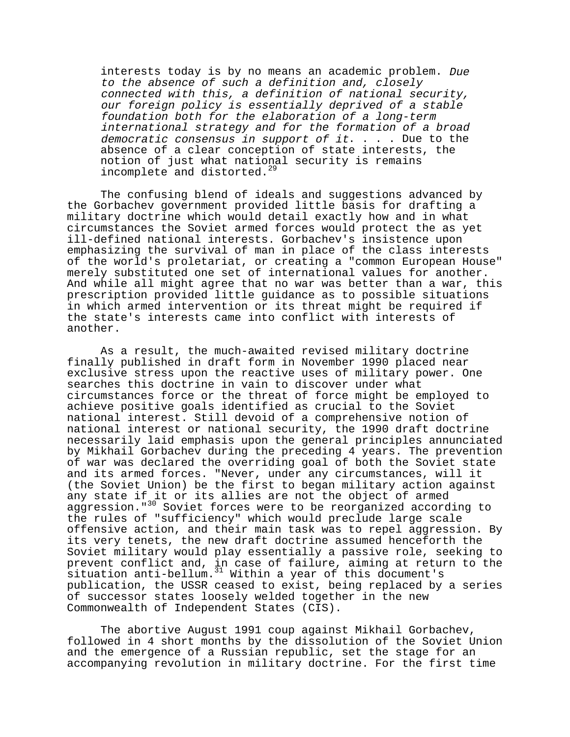interests today is by no means an academic problem. Due to the absence of such a definition and, closely connected with this, a definition of national security, our foreign policy is essentially deprived of a stable foundation both for the elaboration of a long-term international strategy and for the formation of a broad democratic consensus in support of it.  $\ldots$  . Due to the absence of a clear conception of state interests, the notion of just what national security is remains incomplete and distorted.<sup>29</sup>

The confusing blend of ideals and suggestions advanced by the Gorbachev government provided little basis for drafting a military doctrine which would detail exactly how and in what circumstances the Soviet armed forces would protect the as yet ill-defined national interests. Gorbachev's insistence upon emphasizing the survival of man in place of the class interests of the world's proletariat, or creating a "common European House" merely substituted one set of international values for another. And while all might agree that no war was better than a war, this prescription provided little guidance as to possible situations in which armed intervention or its threat might be required if the state's interests came into conflict with interests of another.

As a result, the much-awaited revised military doctrine finally published in draft form in November 1990 placed near exclusive stress upon the reactive uses of military power. One searches this doctrine in vain to discover under what circumstances force or the threat of force might be employed to achieve positive goals identified as crucial to the Soviet national interest. Still devoid of a comprehensive notion of national interest or national security, the 1990 draft doctrine necessarily laid emphasis upon the general principles annunciated by Mikhail Gorbachev during the preceding 4 years. The prevention of war was declared the overriding goal of both the Soviet state and its armed forces. "Never, under any circumstances, will it (the Soviet Union) be the first to began military action against any state if it or its allies are not the object of armed aggression."<sup>30</sup> Soviet forces were to be reorganized according to the rules of "sufficiency" which would preclude large scale offensive action, and their main task was to repel aggression. By its very tenets, the new draft doctrine assumed henceforth the Soviet military would play essentially a passive role, seeking to prevent conflict and, in case of failure, aiming at return to the .<br>situation anti-bellum.<sup>31</sup> Within a year of this document's publication, the USSR ceased to exist, being replaced by a series of successor states loosely welded together in the new Commonwealth of Independent States (CIS).

The abortive August 1991 coup against Mikhail Gorbachev, followed in 4 short months by the dissolution of the Soviet Union and the emergence of a Russian republic, set the stage for an accompanying revolution in military doctrine. For the first time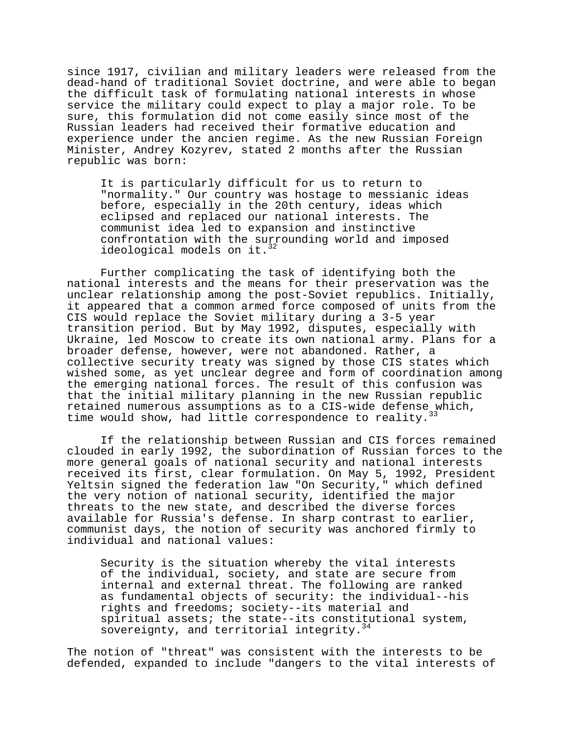since 1917, civilian and military leaders were released from the dead-hand of traditional Soviet doctrine, and were able to began the difficult task of formulating national interests in whose service the military could expect to play a major role. To be sure, this formulation did not come easily since most of the Russian leaders had received their formative education and experience under the ancien regime. As the new Russian Foreign Minister, Andrey Kozyrev, stated 2 months after the Russian republic was born:

It is particularly difficult for us to return to "normality." Our country was hostage to messianic ideas before, especially in the 20th century, ideas which eclipsed and replaced our national interests. The communist idea led to expansion and instinctive confrontation with the surrounding world and imposed ideological models on it. $32$ 

Further complicating the task of identifying both the national interests and the means for their preservation was the unclear relationship among the post-Soviet republics. Initially, it appeared that a common armed force composed of units from the CIS would replace the Soviet military during a 3-5 year transition period. But by May 1992, disputes, especially with Ukraine, led Moscow to create its own national army. Plans for a broader defense, however, were not abandoned. Rather, a collective security treaty was signed by those CIS states which wished some, as yet unclear degree and form of coordination among the emerging national forces. The result of this confusion was that the initial military planning in the new Russian republic retained numerous assumptions as to a CIS-wide defense which, time would show, had little correspondence to reality.

If the relationship between Russian and CIS forces remained clouded in early 1992, the subordination of Russian forces to the more general goals of national security and national interests received its first, clear formulation. On May 5, 1992, President Yeltsin signed the federation law "On Security," which defined the very notion of national security, identified the major threats to the new state, and described the diverse forces available for Russia's defense. In sharp contrast to earlier, communist days, the notion of security was anchored firmly to individual and national values:

Security is the situation whereby the vital interests of the individual, society, and state are secure from internal and external threat. The following are ranked as fundamental objects of security: the individual--his rights and freedoms; society--its material and spiritual assets; the state--its constitutional system, sovereignty, and territorial integrity.<sup>34</sup>

The notion of "threat" was consistent with the interests to be defended, expanded to include "dangers to the vital interests of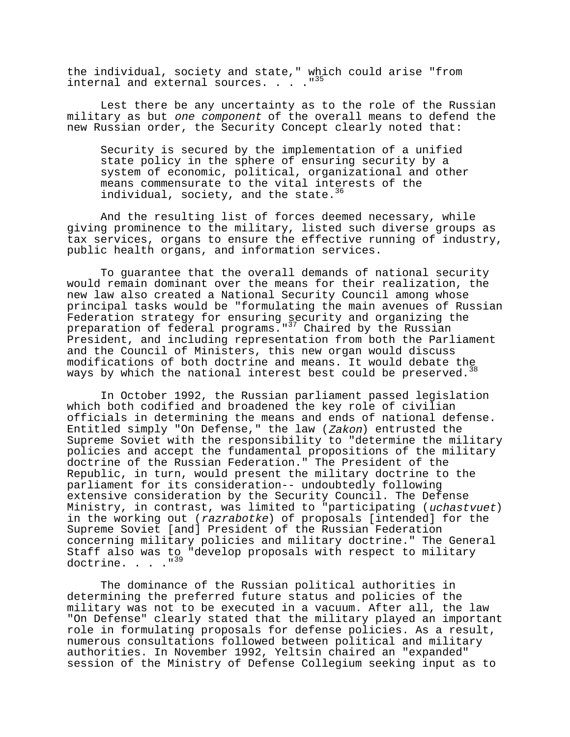the individual, society and state," which could arise "from internal and external sources. . . . "<sup>35</sup>

Lest there be any uncertainty as to the role of the Russian military as but one component of the overall means to defend the new Russian order, the Security Concept clearly noted that:

Security is secured by the implementation of a unified state policy in the sphere of ensuring security by a system of economic, political, organizational and other means commensurate to the vital interests of the individual, society, and the state.<sup>36</sup>

And the resulting list of forces deemed necessary, while giving prominence to the military, listed such diverse groups as tax services, organs to ensure the effective running of industry, public health organs, and information services.

To guarantee that the overall demands of national security would remain dominant over the means for their realization, the new law also created a National Security Council among whose principal tasks would be "formulating the main avenues of Russian Federation strategy for ensuring security and organizing the preparation of federal programs."<sup>37</sup> Chaired by the Russian President, and including representation from both the Parliament and the Council of Ministers, this new organ would discuss modifications of both doctrine and means. It would debate the ways by which the national interest best could be preserved.<sup>38</sup>

In October 1992, the Russian parliament passed legislation which both codified and broadened the key role of civilian officials in determining the means and ends of national defense. Entitled simply "On Defense," the law (Zakon) entrusted the Supreme Soviet with the responsibility to "determine the military policies and accept the fundamental propositions of the military doctrine of the Russian Federation." The President of the Republic, in turn, would present the military doctrine to the parliament for its consideration-- undoubtedly following extensive consideration by the Security Council. The Defense Ministry, in contrast, was limited to "participating (uchastvuet) in the working out (razrabotke) of proposals [intended] for the Supreme Soviet [and] President of the Russian Federation concerning military policies and military doctrine." The General Staff also was to "develop proposals with respect to military doctrine. . . . "<sup>39</sup>

The dominance of the Russian political authorities in determining the preferred future status and policies of the military was not to be executed in a vacuum. After all, the law "On Defense" clearly stated that the military played an important role in formulating proposals for defense policies. As a result, numerous consultations followed between political and military authorities. In November 1992, Yeltsin chaired an "expanded" session of the Ministry of Defense Collegium seeking input as to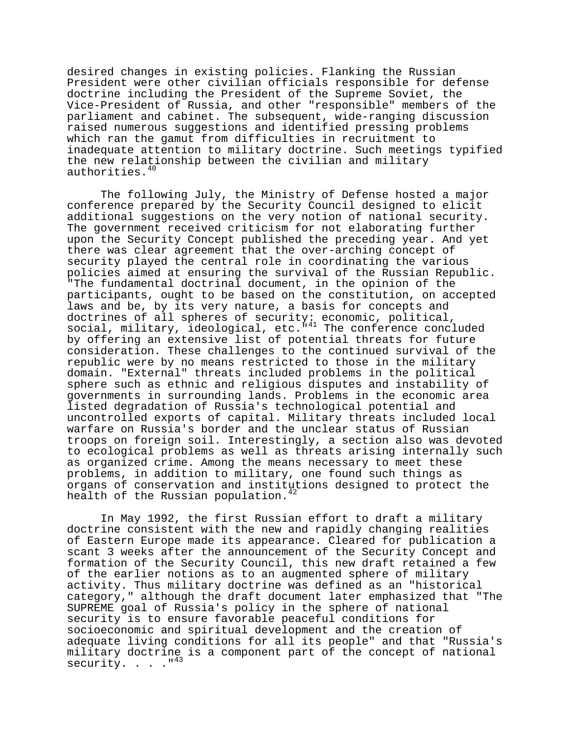desired changes in existing policies. Flanking the Russian President were other civilian officials responsible for defense doctrine including the President of the Supreme Soviet, the Vice-President of Russia, and other "responsible" members of the parliament and cabinet. The subsequent, wide-ranging discussion raised numerous suggestions and identified pressing problems which ran the gamut from difficulties in recruitment to inadequate attention to military doctrine. Such meetings typified the new relationship between the civilian and military authorities.<sup>40</sup>

The following July, the Ministry of Defense hosted a major conference prepared by the Security Council designed to elicit additional suggestions on the very notion of national security. The government received criticism for not elaborating further upon the Security Concept published the preceding year. And yet there was clear agreement that the over-arching concept of security played the central role in coordinating the various policies aimed at ensuring the survival of the Russian Republic. "The fundamental doctrinal document, in the opinion of the participants, ought to be based on the constitution, on accepted laws and be, by its very nature, a basis for concepts and doctrines of all spheres of security: economic, political, social, military, ideological, etc."<sup>41</sup> The conference concluded by offering an extensive list of potential threats for future consideration. These challenges to the continued survival of the republic were by no means restricted to those in the military domain. "External" threats included problems in the political sphere such as ethnic and religious disputes and instability of governments in surrounding lands. Problems in the economic area listed degradation of Russia's technological potential and uncontrolled exports of capital. Military threats included local warfare on Russia's border and the unclear status of Russian troops on foreign soil. Interestingly, a section also was devoted to ecological problems as well as threats arising internally such as organized crime. Among the means necessary to meet these problems, in addition to military, one found such things as organs of conservation and institutions designed to protect the health of the Russian population. $42$ 

In May 1992, the first Russian effort to draft a military doctrine consistent with the new and rapidly changing realities of Eastern Europe made its appearance. Cleared for publication a scant 3 weeks after the announcement of the Security Concept and formation of the Security Council, this new draft retained a few of the earlier notions as to an augmented sphere of military activity. Thus military doctrine was defined as an "historical category," although the draft document later emphasized that "The SUPREME goal of Russia's policy in the sphere of national security is to ensure favorable peaceful conditions for socioeconomic and spiritual development and the creation of adequate living conditions for all its people" and that "Russia's military doctrine is a component part of the concept of national security. . . ."43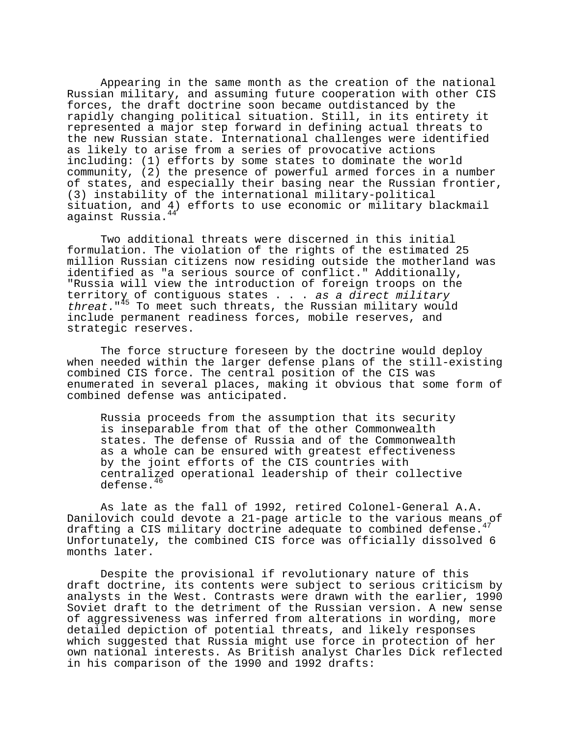Appearing in the same month as the creation of the national Russian military, and assuming future cooperation with other CIS forces, the draft doctrine soon became outdistanced by the rapidly changing political situation. Still, in its entirety it represented a major step forward in defining actual threats to the new Russian state. International challenges were identified as likely to arise from a series of provocative actions including: (1) efforts by some states to dominate the world community, (2) the presence of powerful armed forces in a number of states, and especially their basing near the Russian frontier, (3) instability of the international military-political situation, and 4) efforts to use economic or military blackmail against Russia.<sup>44</sup>

Two additional threats were discerned in this initial formulation. The violation of the rights of the estimated 25 million Russian citizens now residing outside the motherland was identified as "a serious source of conflict." Additionally, "Russia will view the introduction of foreign troops on the territory of contiguous states . . . as a direct military threat."<sup>45</sup> To meet such threats, the Russian military would include permanent readiness forces, mobile reserves, and strategic reserves.

The force structure foreseen by the doctrine would deploy when needed within the larger defense plans of the still-existing combined CIS force. The central position of the CIS was enumerated in several places, making it obvious that some form of combined defense was anticipated.

Russia proceeds from the assumption that its security is inseparable from that of the other Commonwealth states. The defense of Russia and of the Commonwealth as a whole can be ensured with greatest effectiveness by the joint efforts of the CIS countries with centralized operational leadership of their collective defense.<sup>46</sup>

As late as the fall of 1992, retired Colonel-General A.A. Danilovich could devote a 21-page article to the various means of drafting a CIS military doctrine adequate to combined defense.<sup>47</sup> Unfortunately, the combined CIS force was officially dissolved 6 months later.

Despite the provisional if revolutionary nature of this draft doctrine, its contents were subject to serious criticism by analysts in the West. Contrasts were drawn with the earlier, 1990 Soviet draft to the detriment of the Russian version. A new sense of aggressiveness was inferred from alterations in wording, more detailed depiction of potential threats, and likely responses which suggested that Russia might use force in protection of her own national interests. As British analyst Charles Dick reflected in his comparison of the 1990 and 1992 drafts: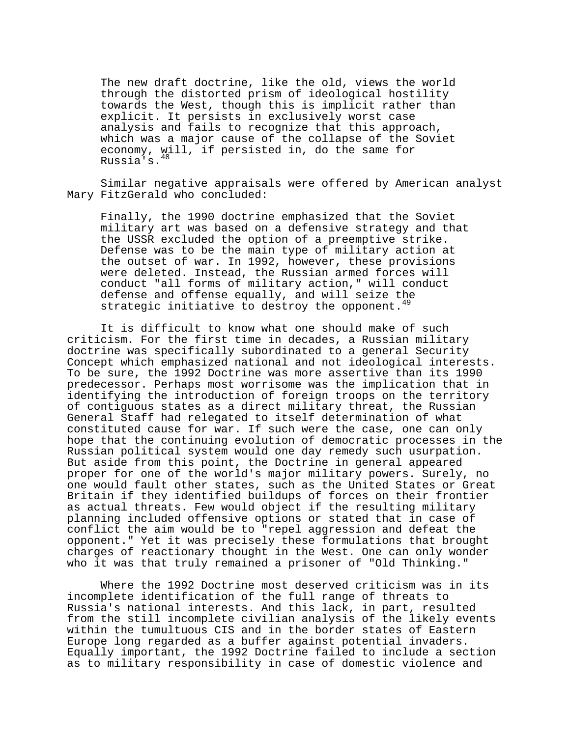The new draft doctrine, like the old, views the world through the distorted prism of ideological hostility towards the West, though this is implicit rather than explicit. It persists in exclusively worst case analysis and fails to recognize that this approach, which was a major cause of the collapse of the Soviet economy, will, if persisted in, do the same for Russia's.48

Similar negative appraisals were offered by American analyst Mary FitzGerald who concluded:

Finally, the 1990 doctrine emphasized that the Soviet military art was based on a defensive strategy and that the USSR excluded the option of a preemptive strike. Defense was to be the main type of military action at the outset of war. In 1992, however, these provisions were deleted. Instead, the Russian armed forces will conduct "all forms of military action," will conduct defense and offense equally, and will seize the strategic initiative to destroy the opponent.<sup>49</sup>

It is difficult to know what one should make of such criticism. For the first time in decades, a Russian military doctrine was specifically subordinated to a general Security Concept which emphasized national and not ideological interests. To be sure, the 1992 Doctrine was more assertive than its 1990 predecessor. Perhaps most worrisome was the implication that in identifying the introduction of foreign troops on the territory of contiguous states as a direct military threat, the Russian General Staff had relegated to itself determination of what constituted cause for war. If such were the case, one can only hope that the continuing evolution of democratic processes in the Russian political system would one day remedy such usurpation. But aside from this point, the Doctrine in general appeared proper for one of the world's major military powers. Surely, no one would fault other states, such as the United States or Great Britain if they identified buildups of forces on their frontier as actual threats. Few would object if the resulting military planning included offensive options or stated that in case of conflict the aim would be to "repel aggression and defeat the opponent." Yet it was precisely these formulations that brought charges of reactionary thought in the West. One can only wonder who it was that truly remained a prisoner of "Old Thinking."

Where the 1992 Doctrine most deserved criticism was in its incomplete identification of the full range of threats to Russia's national interests. And this lack, in part, resulted from the still incomplete civilian analysis of the likely events within the tumultuous CIS and in the border states of Eastern Europe long regarded as a buffer against potential invaders. Equally important, the 1992 Doctrine failed to include a section as to military responsibility in case of domestic violence and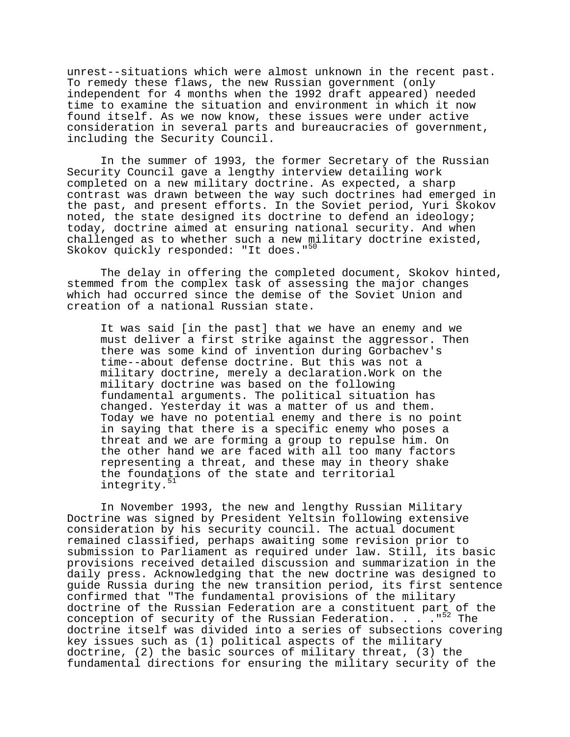unrest--situations which were almost unknown in the recent past. To remedy these flaws, the new Russian government (only independent for 4 months when the 1992 draft appeared) needed time to examine the situation and environment in which it now found itself. As we now know, these issues were under active consideration in several parts and bureaucracies of government, including the Security Council.

In the summer of 1993, the former Secretary of the Russian Security Council gave a lengthy interview detailing work completed on a new military doctrine. As expected, a sharp contrast was drawn between the way such doctrines had emerged in the past, and present efforts. In the Soviet period, Yuri Skokov noted, the state designed its doctrine to defend an ideology; today, doctrine aimed at ensuring national security. And when challenged as to whether such a new military doctrine existed, Skokov quickly responded: "It does."<sup>50</sup>

The delay in offering the completed document, Skokov hinted, stemmed from the complex task of assessing the major changes which had occurred since the demise of the Soviet Union and creation of a national Russian state.

It was said [in the past] that we have an enemy and we must deliver a first strike against the aggressor. Then there was some kind of invention during Gorbachev's time--about defense doctrine. But this was not a military doctrine, merely a declaration.Work on the military doctrine was based on the following fundamental arguments. The political situation has changed. Yesterday it was a matter of us and them. Today we have no potential enemy and there is no point in saying that there is a specific enemy who poses a threat and we are forming a group to repulse him. On the other hand we are faced with all too many factors representing a threat, and these may in theory shake the foundations of the state and territorial integrity.<sup>51</sup>

In November 1993, the new and lengthy Russian Military Doctrine was signed by President Yeltsin following extensive consideration by his security council. The actual document remained classified, perhaps awaiting some revision prior to submission to Parliament as required under law. Still, its basic provisions received detailed discussion and summarization in the daily press. Acknowledging that the new doctrine was designed to guide Russia during the new transition period, its first sentence confirmed that "The fundamental provisions of the military doctrine of the Russian Federation are a constituent part of the conception of security of the Russian Federation. . . . . "<sup>52</sup> The doctrine itself was divided into a series of subsections covering key issues such as (1) political aspects of the military doctrine, (2) the basic sources of military threat, (3) the fundamental directions for ensuring the military security of the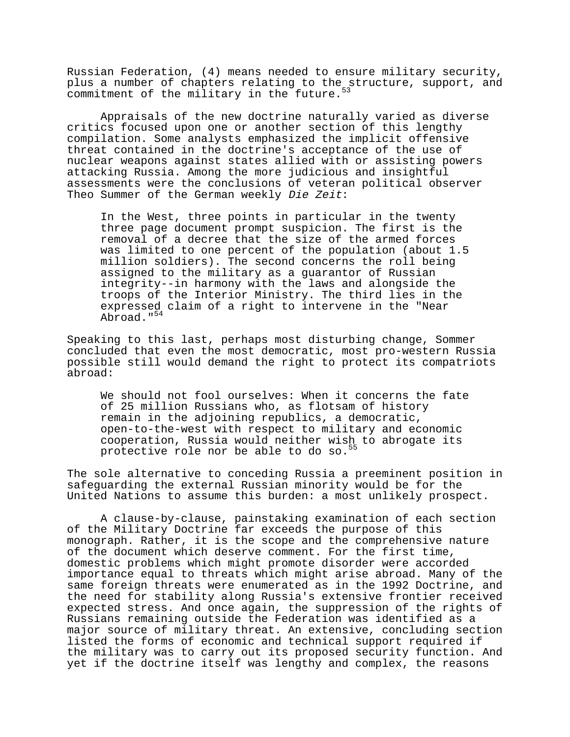Russian Federation, (4) means needed to ensure military security, plus a number of chapters relating to the structure, support, and commitment of the military in the future.<sup>53</sup>

Appraisals of the new doctrine naturally varied as diverse critics focused upon one or another section of this lengthy compilation. Some analysts emphasized the implicit offensive threat contained in the doctrine's acceptance of the use of nuclear weapons against states allied with or assisting powers attacking Russia. Among the more judicious and insightful assessments were the conclusions of veteran political observer Theo Summer of the German weekly Die Zeit:

In the West, three points in particular in the twenty three page document prompt suspicion. The first is the removal of a decree that the size of the armed forces was limited to one percent of the population (about 1.5 million soldiers). The second concerns the roll being assigned to the military as a guarantor of Russian integrity--in harmony with the laws and alongside the troops of the Interior Ministry. The third lies in the expressed claim of a right to intervene in the "Near Abroad."<sup>54</sup>

Speaking to this last, perhaps most disturbing change, Sommer concluded that even the most democratic, most pro-western Russia possible still would demand the right to protect its compatriots abroad:

We should not fool ourselves: When it concerns the fate of 25 million Russians who, as flotsam of history remain in the adjoining republics, a democratic, open-to-the-west with respect to military and economic cooperation, Russia would neither wish to abrogate its protective role nor be able to do so.<sup>55</sup>

The sole alternative to conceding Russia a preeminent position in safeguarding the external Russian minority would be for the United Nations to assume this burden: a most unlikely prospect.

A clause-by-clause, painstaking examination of each section of the Military Doctrine far exceeds the purpose of this monograph. Rather, it is the scope and the comprehensive nature of the document which deserve comment. For the first time, domestic problems which might promote disorder were accorded importance equal to threats which might arise abroad. Many of the same foreign threats were enumerated as in the 1992 Doctrine, and the need for stability along Russia's extensive frontier received expected stress. And once again, the suppression of the rights of Russians remaining outside the Federation was identified as a major source of military threat. An extensive, concluding section listed the forms of economic and technical support required if the military was to carry out its proposed security function. And yet if the doctrine itself was lengthy and complex, the reasons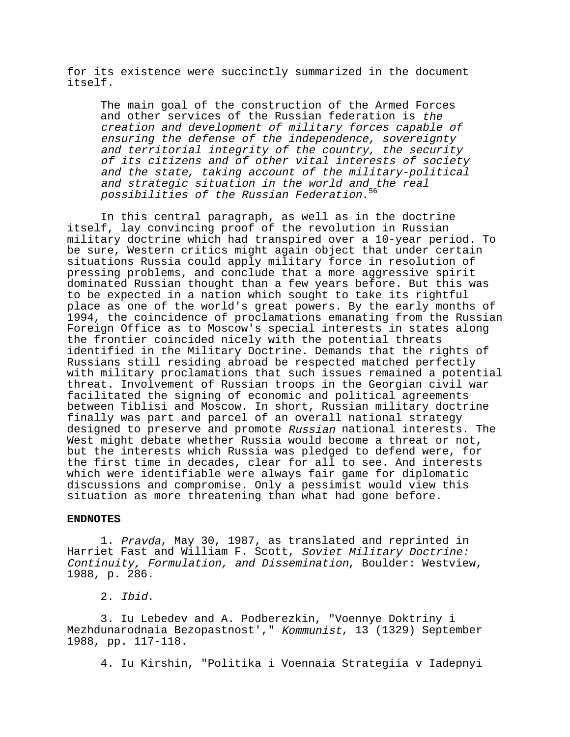for its existence were succinctly summarized in the document itself.

The main goal of the construction of the Armed Forces and other services of the Russian federation is the creation and development of military forces capable of ensuring the defense of the independence, sovereignty and territorial integrity of the country, the security of its citizens and of other vital interests of society and the state, taking account of the military-political and strategic situation in the world and the real possibilities of the Russian Federation.<sup>5</sup>

In this central paragraph, as well as in the doctrine itself, lay convincing proof of the revolution in Russian military doctrine which had transpired over a 10-year period. To be sure, Western critics might again object that under certain situations Russia could apply military force in resolution of pressing problems, and conclude that a more aggressive spirit dominated Russian thought than a few years before. But this was to be expected in a nation which sought to take its rightful place as one of the world's great powers. By the early months of 1994, the coincidence of proclamations emanating from the Russian Foreign Office as to Moscow's special interests in states along the frontier coincided nicely with the potential threats identified in the Military Doctrine. Demands that the rights of Russians still residing abroad be respected matched perfectly with military proclamations that such issues remained a potential threat. Involvement of Russian troops in the Georgian civil war facilitated the signing of economic and political agreements between Tiblisi and Moscow. In short, Russian military doctrine finally was part and parcel of an overall national strategy designed to preserve and promote Russian national interests. The West might debate whether Russia would become a threat or not, but the interests which Russia was pledged to defend were, for the first time in decades, clear for all to see. And interests which were identifiable were always fair game for diplomatic discussions and compromise. Only a pessimist would view this situation as more threatening than what had gone before.

#### **ENDNOTES**

1. Pravda, May 30, 1987, as translated and reprinted in Harriet Fast and William F. Scott, Soviet Military Doctrine: Continuity, Formulation, and Dissemination, Boulder: Westview, 1988, p. 286.

2. Ibid.

3. Iu Lebedev and A. Podberezkin, "Voennye Doktriny i Mezhdunarodnaia Bezopastnost'," Kommunist, 13 (1329) September 1988, pp. 117-118.

4. Iu Kirshin, "Politika i Voennaia Strategiia v Iadepnyi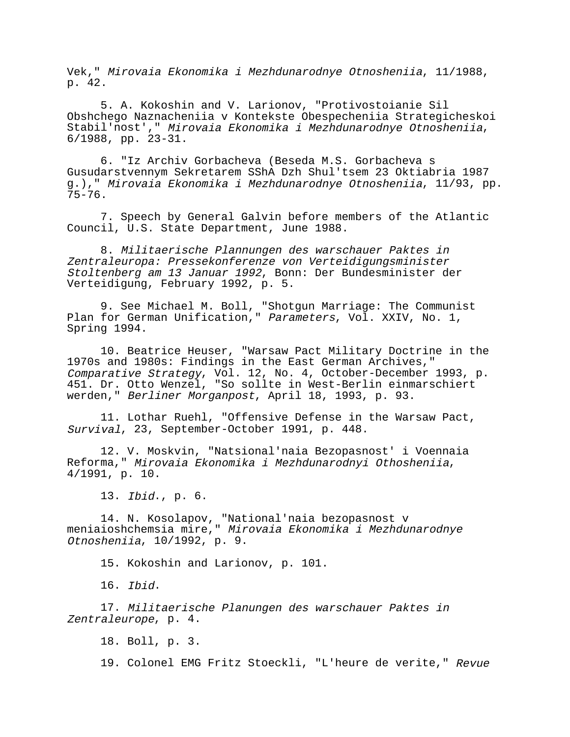Vek," Mirovaia Ekonomika i Mezhdunarodnye Otnosheniia, 11/1988, p. 42.

5. A. Kokoshin and V. Larionov, "Protivostoianie Sil Obshchego Naznacheniia v Kontekste Obespecheniia Strategicheskoi Stabil'nost'," Mirovaia Ekonomika i Mezhdunarodnye Otnosheniia, 6/1988, pp. 23-31.

6. "Iz Archiv Gorbacheva (Beseda M.S. Gorbacheva s Gusudarstvennym Sekretarem SShA Dzh Shul'tsem 23 Oktiabria 1987 g.)," Mirovaia Ekonomika i Mezhdunarodnye Otnosheniia, 11/93, pp. 75-76.

7. Speech by General Galvin before members of the Atlantic Council, U.S. State Department, June 1988.

8. Militaerische Plannungen des warschauer Paktes in Zentraleuropa: Pressekonferenze von Verteidigungsminister Stoltenberg am 13 Januar 1992, Bonn: Der Bundesminister der Verteidigung, February 1992, p. 5.

9. See Michael M. Boll, "Shotgun Marriage: The Communist Plan for German Unification," Parameters, Vol. XXIV, No. 1, Spring 1994.

10. Beatrice Heuser, "Warsaw Pact Military Doctrine in the 1970s and 1980s: Findings in the East German Archives," Comparative Strategy, Vol. 12, No. 4, October-December 1993, p. 451. Dr. Otto Wenzel, "So sollte in West-Berlin einmarschiert werden," Berliner Morganpost, April 18, 1993, p. 93.

11. Lothar Ruehl, "Offensive Defense in the Warsaw Pact, Survival, 23, September-October 1991, p. 448.

12. V. Moskvin, "Natsional'naia Bezopasnost' i Voennaia Reforma," Mirovaia Ekonomika i Mezhdunarodnyi Othosheniia, 4/1991, p. 10.

13. Ibid., p. 6.

14. N. Kosolapov, "National'naia bezopasnost v meniaioshchemsia mire," Mirovaia Ekonomika i Mezhdunarodnye Otnosheniia, 10/1992, p. 9.

15. Kokoshin and Larionov, p. 101.

16. Ibid.

17. Militaerische Planungen des warschauer Paktes in Zentraleurope, p. 4.

18. Boll, p. 3.

19. Colonel EMG Fritz Stoeckli, "L'heure de verite," Revue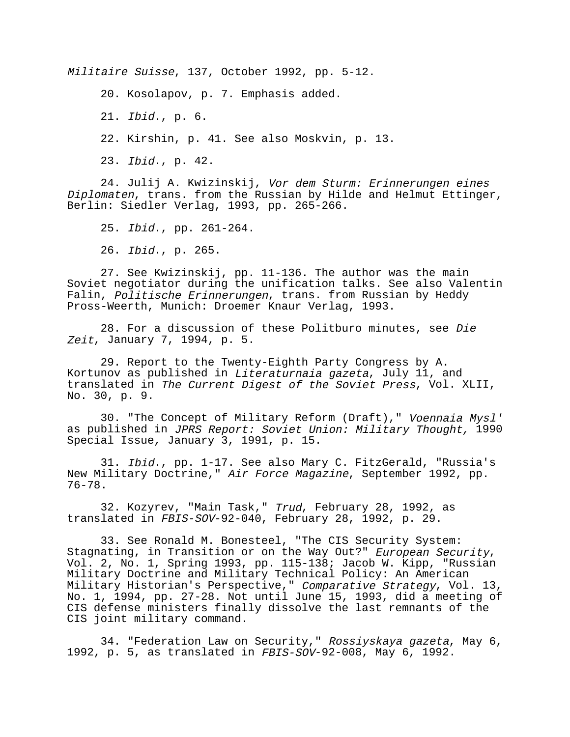Militaire Suisse, 137, October 1992, pp. 5-12.

20. Kosolapov, p. 7. Emphasis added.

21. Ibid., p. 6.

22. Kirshin, p. 41. See also Moskvin, p. 13.

23. Ibid., p. 42.

24. Julij A. Kwizinskij, Vor dem Sturm: Erinnerungen eines Diplomaten, trans. from the Russian by Hilde and Helmut Ettinger, Berlin: Siedler Verlag, 1993, pp. 265-266.

25. Ibid., pp. 261-264.

26. Ibid., p. 265.

27. See Kwizinskij, pp. 11-136. The author was the main Soviet negotiator during the unification talks. See also Valentin Falin, Politische Erinnerungen, trans. from Russian by Heddy Pross-Weerth, Munich: Droemer Knaur Verlag, 1993.

28. For a discussion of these Politburo minutes, see Die Zeit, January 7, 1994, p. 5.

29. Report to the Twenty-Eighth Party Congress by A. Kortunov as published in Literaturnaia gazeta, July 11, and translated in The Current Digest of the Soviet Press, Vol. XLII, No. 30, p. 9.

30. "The Concept of Military Reform (Draft)," Voennaia Mysl' as published in JPRS Report: Soviet Union: Military Thought, 1990 Special Issue, January 3, 1991, p. 15.

31. Ibid., pp. 1-17. See also Mary C. FitzGerald, "Russia's New Military Doctrine," Air Force Magazine, September 1992, pp. 76-78.

32. Kozyrev, "Main Task," Trud, February 28, 1992, as translated in FBIS-SOV-92-040, February 28, 1992, p. 29.

33. See Ronald M. Bonesteel, "The CIS Security System: Stagnating, in Transition or on the Way Out?" European Security,<br>Vol. 2, No. 1, Spring 1993, pp. 115-138; Jacob W. Kipp, "Russian Military Doctrine and Military Technical Policy: An American Military Historian's Perspective," Comparative Strategy, Vol. 13, No. 1, 1994, pp. 27-28. Not until June 15, 1993, did a meeting of CIS defense ministers finally dissolve the last remnants of the CIS joint military command.

34. "Federation Law on Security," Rossiyskaya gazeta, May 6, 1992, p. 5, as translated in FBIS-SOV-92-008, May 6, 1992.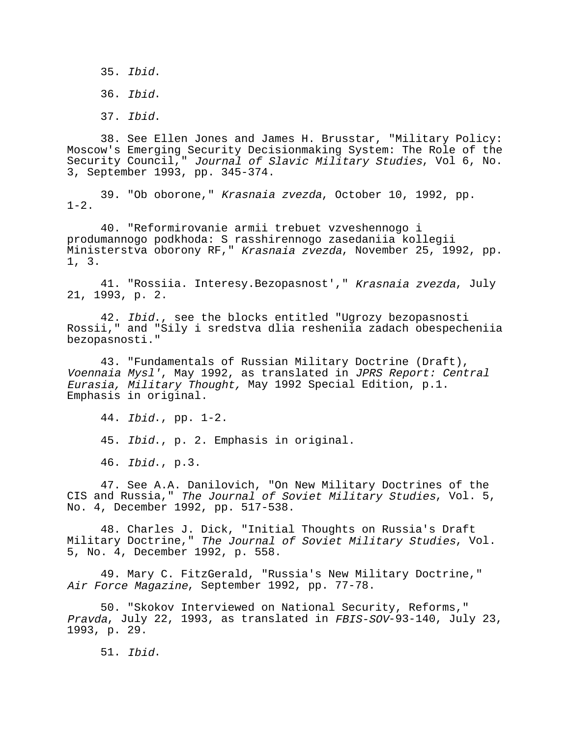35. Ibid.

36. Ibid.

37. Ibid.

38. See Ellen Jones and James H. Brusstar, "Military Policy: Moscow's Emerging Security Decisionmaking System: The Role of the Security Council," Journal of Slavic Military Studies, Vol 6, No. 3, September 1993, pp. 345-374.

39. "Ob oborone," Krasnaia zvezda, October 10, 1992, pp.  $1-2$ .

40. "Reformirovanie armii trebuet vzveshennogo i produmannogo podkhoda: S rasshirennogo zasedaniia kollegii Ministerstva oborony RF," Krasnaia zvezda, November 25, 1992, pp. 1, 3.

41. "Rossiia. Interesy.Bezopasnost'," Krasnaia zvezda, July 21, 1993, p. 2.

42. Ibid., see the blocks entitled "Ugrozy bezopasnosti Rossii," and "Sily i sredstva dlia resheniia zadach obespecheniia bezopasnosti."

43. "Fundamentals of Russian Military Doctrine (Draft), Voennaia Mysl', May 1992, as translated in JPRS Report: Central Eurasia, Military Thought, May 1992 Special Edition, p.1. Emphasis in original.

44. Ibid., pp. 1-2.

45. Ibid., p. 2. Emphasis in original.

46. Ibid., p.3.

47. See A.A. Danilovich, "On New Military Doctrines of the CIS and Russia," The Journal of Soviet Military Studies, Vol. 5, No. 4, December 1992, pp. 517-538.

48. Charles J. Dick, "Initial Thoughts on Russia's Draft Military Doctrine," The Journal of Soviet Military Studies, Vol. 5, No. 4, December 1992, p. 558.

49. Mary C. FitzGerald, "Russia's New Military Doctrine," Air Force Magazine, September 1992, pp. 77-78.

50. "Skokov Interviewed on National Security, Reforms," Pravda, July 22, 1993, as translated in FBIS-SOV-93-140, July 23, 1993, p. 29.

51. Ibid.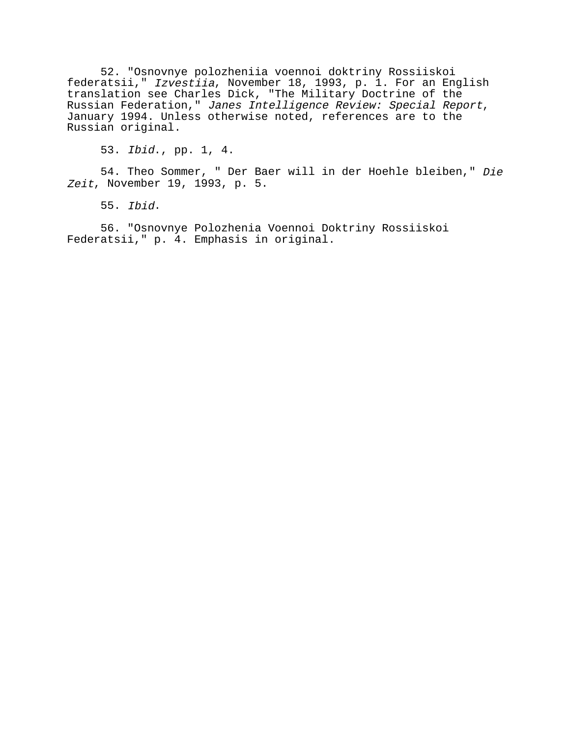52. "Osnovnye polozheniia voennoi doktriny Rossiiskoi federatsii," Izvestiia, November 18, 1993, p. 1. For an English translation see Charles Dick, "The Military Doctrine of the Russian Federation," Janes Intelligence Review: Special Report, January 1994. Unless otherwise noted, references are to the Russian original.

53. Ibid., pp. 1, 4.

54. Theo Sommer, " Der Baer will in der Hoehle bleiben," Die Zeit, November 19, 1993, p. 5.

55. Ibid.

56. "Osnovnye Polozhenia Voennoi Doktriny Rossiiskoi Federatsii," p. 4. Emphasis in original.